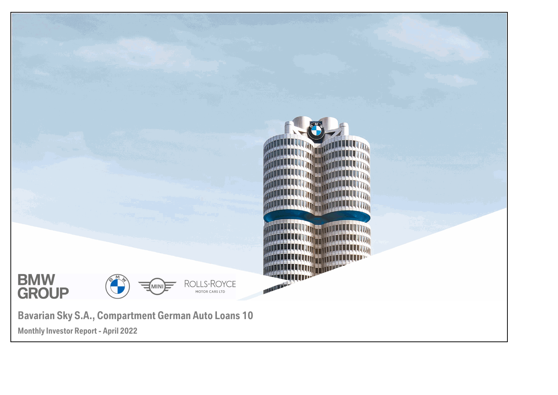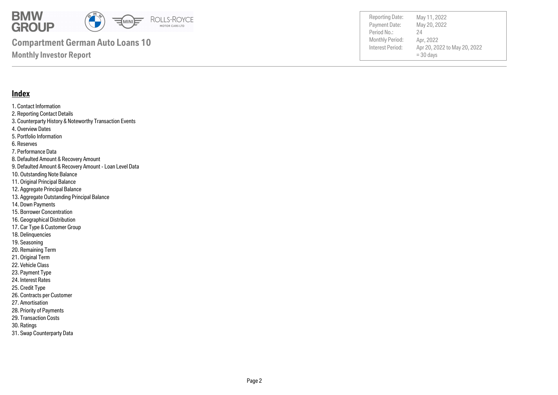

Payment Date: Period No.: Apr 20, 2022 to May 20, 2022  $= 30$  days May 20, 2022 Apr, 2022 24 Reporting Date: May 11, 2022

### **Index**

1. Contact Information 2. Reporting Contact Details 3. Counterparty History & Noteworthy Transaction Events 4. Overview Dates 5. Portfolio Information 6. Reserves 7. Performance Data 8. Defaulted Amount & Recovery Amount 9. Defaulted Amount & Recovery Amount - Loan Level Data 10. Outstanding Note Balance 11. Original Principal Balance 12. Aggregate Principal Balance 13. Aggregate Outstanding Principal Balance 14. Down Payments 15. Borrower Concentration 16. Geographical Distribution 17. Car Type & Customer Group 18. Delinquencies 19. Seasoning 20. Remaining Term

- 21. Original Term
- 22. Vehicle Class
- 23. Payment Type
- 24. Interest Rates
- 25. Credit Type
- 26. Contracts per Customer
- 27. Amortisation
- 28. Priority of Payments
- 29. Transaction Costs
- 30. Ratings
- 31. Swap Counterparty Data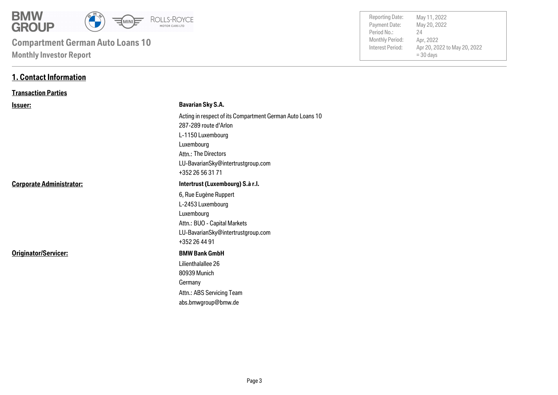

# **Monthly Investor Report Compartment German Auto Loans 10**

| <b>Reporting Date:</b><br>Payment Date:<br>Period No.:<br>Monthly Period:<br>Interest Period: | May 11, 2022<br>May 20, 2022<br>24<br>Apr, 2022<br>Apr 20, 2022 to May 20, 2022<br>$=$ 30 days |
|-----------------------------------------------------------------------------------------------|------------------------------------------------------------------------------------------------|
|                                                                                               |                                                                                                |

### **1. Contact Information**

### **Transaction Parties**

| <u>Issuer:</u>                  | <b>Bavarian Sky S.A.</b>                                  |
|---------------------------------|-----------------------------------------------------------|
|                                 | Acting in respect of its Compartment German Auto Loans 10 |
|                                 | 287-289 route d'Arlon                                     |
|                                 | L-1150 Luxembourg                                         |
|                                 | Luxembourg                                                |
|                                 | Attn.: The Directors                                      |
|                                 | LU-BavarianSky@intertrustgroup.com                        |
|                                 | +352 26 56 31 71                                          |
| <b>Corporate Administrator:</b> | Intertrust (Luxembourg) S.à r.l.                          |
|                                 | 6, Rue Eugène Ruppert                                     |
|                                 | L-2453 Luxembourg                                         |
|                                 | Luxembourg                                                |
|                                 | Attn.: BUO - Capital Markets                              |
|                                 | LU-BavarianSky@intertrustgroup.com                        |
|                                 | +352 26 44 91                                             |
| Originator/Servicer:            | <b>BMW Bank GmbH</b>                                      |
|                                 | Lilienthalallee 26                                        |
|                                 | 80939 Munich                                              |
|                                 | Germany                                                   |
|                                 | Attn.: ABS Servicing Team                                 |
|                                 | abs.bmwgroup@bmw.de                                       |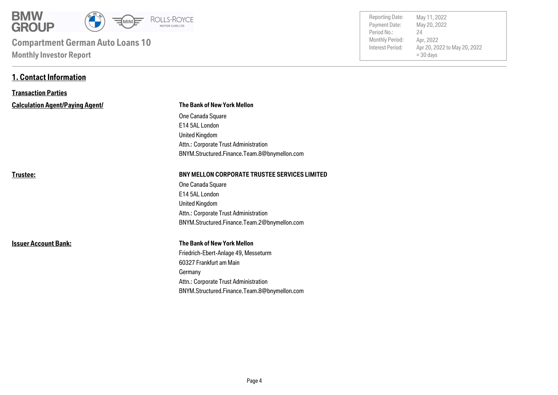

# **Monthly Investor Report Compartment German Auto Loans 10**

**1. Contact Information**

| <b>Reporting Date:</b><br>May 11, 2022<br>May 20, 2022<br>Payment Date:<br>Period No.:<br>24<br>Monthly Period:<br>Apr. 2022<br>Interest Period:<br>Apr 20, 2022 to May 20, 2022<br>$=$ 30 days |
|-------------------------------------------------------------------------------------------------------------------------------------------------------------------------------------------------|
|-------------------------------------------------------------------------------------------------------------------------------------------------------------------------------------------------|

| <b>Transaction Parties</b>             |                                                      |  |  |  |
|----------------------------------------|------------------------------------------------------|--|--|--|
| <b>Calculation Agent/Paying Agent/</b> | <b>The Bank of New York Mellon</b>                   |  |  |  |
|                                        | One Canada Square                                    |  |  |  |
|                                        | E14 5AL London                                       |  |  |  |
|                                        | <b>United Kingdom</b>                                |  |  |  |
|                                        | Attn.: Corporate Trust Administration                |  |  |  |
|                                        | BNYM.Structured.Finance.Team.8@bnymellon.com         |  |  |  |
| Trustee:                               | <b>BNY MELLON CORPORATE TRUSTEE SERVICES LIMITED</b> |  |  |  |
|                                        | One Canada Square                                    |  |  |  |
|                                        | E14 5AL London                                       |  |  |  |
|                                        | <b>United Kingdom</b>                                |  |  |  |
|                                        | Attn.: Corporate Trust Administration                |  |  |  |
|                                        | BNYM.Structured.Finance.Team.2@bnymellon.com         |  |  |  |
| <b>Issuer Account Bank:</b>            | The Bank of New York Mellon                          |  |  |  |
|                                        | Friedrich-Ebert-Anlage 49, Messeturm                 |  |  |  |
|                                        | 60327 Frankfurt am Main                              |  |  |  |
|                                        | Germany                                              |  |  |  |
|                                        | Attn.: Corporate Trust Administration                |  |  |  |
|                                        | BNYM.Structured.Finance.Team.8@bnymellon.com         |  |  |  |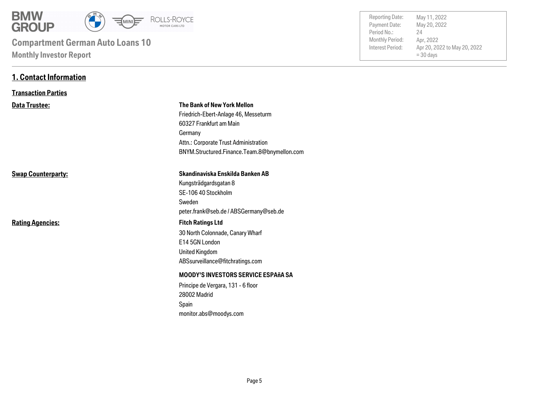

# **Monthly Investor Report Compartment German Auto Loans 10**

**1. Contact Information**

| <b>Reporting Date:</b><br>Payment Date: | May 11, 2022<br>May 20, 2022                |
|-----------------------------------------|---------------------------------------------|
| Period No.:                             | 24                                          |
| Monthly Period:                         | Apr, 2022                                   |
| Interest Period:                        | Apr 20, 2022 to May 20, 2022<br>$=$ 30 days |
|                                         |                                             |

| <b>Transaction Parties</b> |                                                                                                                                                           |  |  |
|----------------------------|-----------------------------------------------------------------------------------------------------------------------------------------------------------|--|--|
| <b>Data Trustee:</b>       | <b>The Bank of New York Mellon</b><br>Friedrich-Ebert-Anlage 46, Messeturm<br>60327 Frankfurt am Main<br>Germany<br>Attn.: Corporate Trust Administration |  |  |
|                            | BNYM.Structured.Finance.Team.8@bnymellon.com                                                                                                              |  |  |
| <b>Swap Counterparty:</b>  | Skandinaviska Enskilda Banken AB<br>Kungsträdgardsgatan 8<br>SE-106 40 Stockholm<br>Sweden<br>peter.frank@seb.de / ABSGermany@seb.de                      |  |  |
| <b>Rating Agencies:</b>    | <b>Fitch Ratings Ltd</b><br>30 North Colonnade, Canary Wharf<br>E14 5GN London<br><b>United Kingdom</b><br>ABSsurveillance@fitchratings.com               |  |  |
|                            | <b>MOODY'S INVESTORS SERVICE ESPAñA SA</b><br>Principe de Vergara, 131 - 6 floor<br>28002 Madrid<br>Spain<br>monitor.abs@moodys.com                       |  |  |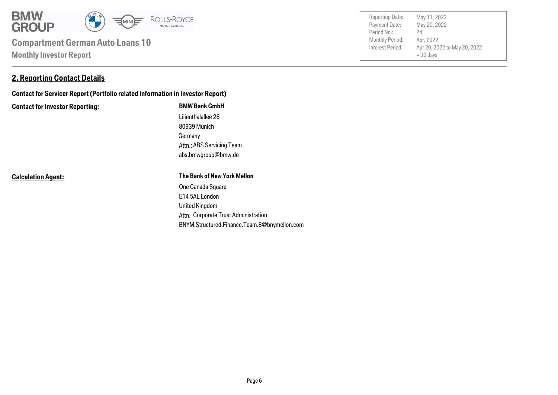

### **2. Reporting Contact Details**

### **Contact for Servicer Report (Portfolio related information in Investor Report)**

#### **Contact for Investor Reporting: BMW Bank GmbH**

Germany 80939 Munich Lilienthalallee 26 abs.bmwgroup@bmw.de Attn.: ABS Servicing Team

**Calculation Agent:**

#### **The Bank of New York Mellon**

Attn. Corporate Trust Administration United Kingdom E14 5AL London One Canada Square BNYM.Structured.Finance.Team.8@bnymellon.com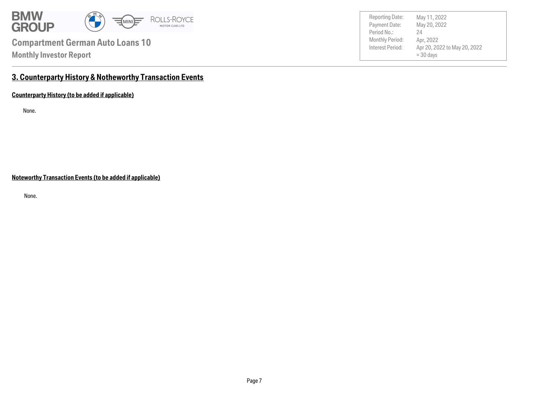

Payment Date: Period No.: Apr 20, 2022 to May 20, 2022  $= 30$  days May 20, 2022 Apr, 2022 24 Reporting Date: May 11, 2022

### **3. Counterparty History & Notheworthy Transaction Events**

**Counterparty History (to be added if applicable)**

None.

**Noteworthy Transaction Events (to be added if applicable)**

None.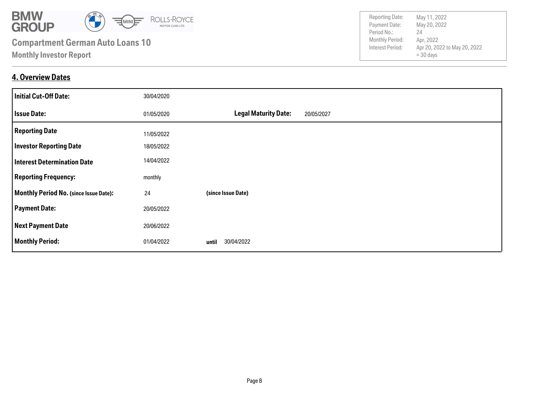

### **4. Overview Dates**

| <b>Initial Cut-Off Date:</b>                  | 30/04/2020 |                                           |
|-----------------------------------------------|------------|-------------------------------------------|
| <b>Issue Date:</b>                            | 01/05/2020 | <b>Legal Maturity Date:</b><br>20/05/2027 |
| <b>Reporting Date</b>                         | 11/05/2022 |                                           |
| <b>Investor Reporting Date</b>                | 18/05/2022 |                                           |
| <b>Interest Determination Date</b>            | 14/04/2022 |                                           |
| <b>Reporting Frequency:</b>                   | monthly    |                                           |
| <b>Monthly Period No. (since Issue Date):</b> | 24         | (since Issue Date)                        |
| <b>Payment Date:</b>                          | 20/05/2022 |                                           |
| <b>Next Payment Date</b>                      | 20/06/2022 |                                           |
| <b>Monthly Period:</b>                        | 01/04/2022 | 30/04/2022<br>until                       |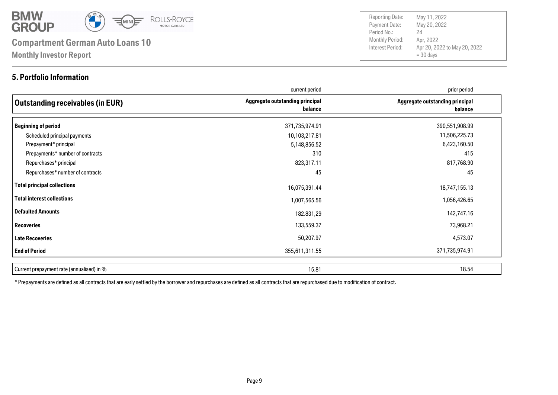

### **5. Portfolio Information**

Payment Date: Period No.: Apr 20, 2022 to May 20, 2022  $= 30$  days May 20, 2022 Apr, 2022 24 Reporting Date: May 11, 2022

|                                           | current period                             | prior period                               |
|-------------------------------------------|--------------------------------------------|--------------------------------------------|
| <b>Outstanding receivables (in EUR)</b>   | Aggregate outstanding principal<br>balance | Aggregate outstanding principal<br>balance |
| <b>Beginning of period</b>                | 371,735,974.91                             | 390,551,908.99                             |
| Scheduled principal payments              | 10,103,217.81                              | 11,506,225.73                              |
| Prepayment* principal                     | 5,148,856.52                               | 6,423,160.50                               |
| Prepayments* number of contracts          | 310                                        | 415                                        |
| Repurchases* principal                    | 823,317.11                                 | 817,768.90                                 |
| Repurchases* number of contracts          | 45                                         | 45                                         |
| <b>Total principal collections</b>        | 16,075,391.44                              | 18,747,155.13                              |
| <b>Total interest collections</b>         | 1,007,565.56                               | 1,056,426.65                               |
| <b>Defaulted Amounts</b>                  | 182.831,29                                 | 142,747.16                                 |
| <b>Recoveries</b>                         | 133,559.37                                 | 73,968.21                                  |
| <b>Late Recoveries</b>                    | 50,207.97                                  | 4,573.07                                   |
| <b>End of Period</b>                      | 355,611,311.55                             | 371,735,974.91                             |
| Current prepayment rate (annualised) in % | 15.81                                      | 18.54                                      |

\* Prepayments are defined as all contracts that are early settled by the borrower and repurchases are defined as all contracts that are repurchased due to modification of contract.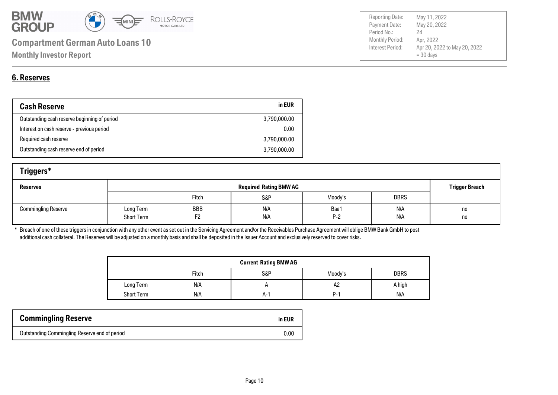

| <b>6. Reserves</b> |
|--------------------|

| <b>Cash Reserve</b>                          | in EUR       |
|----------------------------------------------|--------------|
| Outstanding cash reserve beginning of period | 3,790,000.00 |
| Interest on cash reserve - previous period   | 0.00         |
| Required cash reserve                        | 3,790,000.00 |
| Outstanding cash reserve end of period       | 3,790,000.00 |

| Triggers*                  |                                |                       |            |               |             |                       |
|----------------------------|--------------------------------|-----------------------|------------|---------------|-------------|-----------------------|
| <b>Reserves</b>            | <b>Required Rating BMW AG</b>  |                       |            |               |             | <b>Trigger Breach</b> |
|                            |                                | Fitch                 | S&P        | Moody's       | <b>DBRS</b> |                       |
| <b>Commingling Reserve</b> | Long Term<br><b>Short Term</b> | BBB<br>F <sub>2</sub> | N/A<br>N/A | Baa1<br>$P-2$ | N/A<br>N/A  | no<br>no              |

\* Breach of one of these triggers in conjunction with any other event as set out in the Servicing Agreement and/or the Receivables Purchase Agreement will oblige BMW Bank GmbH to post additional cash collateral. The Reserves will be adjusted on a monthly basis and shall be deposited in the Issuer Account and exclusively reserved to cover risks.

| <b>Current Rating BMW AG</b> |       |     |            |             |
|------------------------------|-------|-----|------------|-------------|
|                              | Fitch | S&P | Moody's    | <b>DBRS</b> |
| Long Term                    | N/A   |     | A2         | A high      |
| <b>Short Term</b>            | N/A   | A-' | <b>P-1</b> | N/A         |

| <b>Commingling Reserve</b>                    | in EUR |
|-----------------------------------------------|--------|
| Outstanding Commingling Reserve end of period | 0.00   |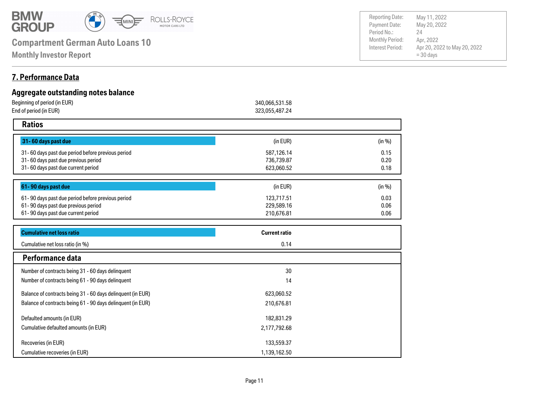

**Monthly Investor Report**

### **7. Performance Data**

| Aggregate outstanding notes balance               |                      |        |
|---------------------------------------------------|----------------------|--------|
| Beginning of period (in EUR)                      | 340,066,531.58       |        |
| End of period (in EUR)                            | 323,055,487.24       |        |
| <b>Ratios</b>                                     |                      |        |
| 31-60 days past due                               | (in EUR)             | (in %) |
| 31-60 days past due period before previous period | 587,126.14           | 0.15   |
| 31-60 days past due previous period               | 736,739.87           | 0.20   |
| 31-60 days past due current period                | 623,060.52           | 0.18   |
|                                                   |                      |        |
| 61-90 days past due                               | (in EUR)             | (in %) |
| 61-90 days past due period before previous period | 123,717.51           | 0.03   |
| 61-90 days past due previous period               | 229,589.16           | 0.06   |
| 61-90 days past due current period                | 210,676.81           | 0.06   |
| <b>Cumulative net loss ratio</b>                  | <b>Current ratio</b> |        |
| Cumulative net loss ratio (in %)                  | 0.14                 |        |
| Performance data                                  |                      |        |
| Number of contracts being 31 - 60 days delinquent | 30                   |        |
| Number of contracts heing 61 - 90 days delinguent | 11                   |        |

| Performance data                                            |              |  |
|-------------------------------------------------------------|--------------|--|
| Number of contracts being 31 - 60 days delinquent           | 30           |  |
| Number of contracts being 61 - 90 days delinquent           | 14           |  |
| Balance of contracts being 31 - 60 days delinquent (in EUR) | 623,060.52   |  |
| Balance of contracts being 61 - 90 days delinguent (in EUR) | 210,676.81   |  |
| Defaulted amounts (in EUR)                                  | 182,831.29   |  |
| Cumulative defaulted amounts (in EUR)                       | 2,177,792.68 |  |
| Recoveries (in EUR)                                         | 133,559.37   |  |
| Cumulative recoveries (in EUR)                              | 1,139,162.50 |  |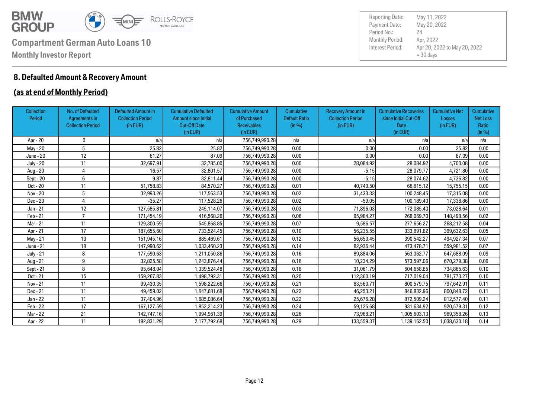

### **8. Defaulted Amount & Recovery Amount**

### **(as at end of Monthly Period)**

| <b>Collection</b><br>Period | No. of Defaulted<br><b>Agreements in</b><br><b>Collection Period</b> | <b>Defaulted Amount in</b><br><b>Collection Period</b><br>(in EUR) | <b>Cumulative Defaulted</b><br><b>Amount since Initial</b><br><b>Cut-Off Date</b><br>(in EUR) | <b>Cumulative Amount</b><br>of Purchased<br><b>Receivables</b><br>(in EUR) | Cumulative<br><b>Default Ratio</b><br>(in %) | <b>Recovery Amount in</b><br><b>Collection Period</b><br>(in EUR) | <b>Cumulative Recoveries</b><br>since Initial Cut-Off<br>Date<br>(in EUR) | <b>Cumulative Net</b><br><b>Losses</b><br>(in EUR) | <b>Cumulative</b><br><b>Net Loss</b><br>Ratio<br>(in %) |
|-----------------------------|----------------------------------------------------------------------|--------------------------------------------------------------------|-----------------------------------------------------------------------------------------------|----------------------------------------------------------------------------|----------------------------------------------|-------------------------------------------------------------------|---------------------------------------------------------------------------|----------------------------------------------------|---------------------------------------------------------|
| Apr - 20                    | 0                                                                    | n/a                                                                | n/a                                                                                           | 756,749,990.28                                                             | n/a                                          | n/a                                                               | n/a                                                                       | n/a                                                | n/a                                                     |
| May - 20                    | 5                                                                    | 25.82                                                              | 25.82                                                                                         | 756,749,990.28                                                             | 0.00                                         | 0.00                                                              | 0.00                                                                      | 25.82                                              | 0.00                                                    |
| June - 20                   | 12                                                                   | 61.27                                                              | 87.09                                                                                         | 756,749,990.28                                                             | 0.00                                         | 0.00                                                              | 0.00                                                                      | 87.09                                              | 0.00                                                    |
| <b>July - 20</b>            | 11                                                                   | 32,697.91                                                          | 32,785.00                                                                                     | 756,749,990.28                                                             | 0.00                                         | 28,084.92                                                         | 28,084.92                                                                 | 4,700.08                                           | 0.00                                                    |
| Aug - 20                    | 4                                                                    | 16.57                                                              | 32,801.57                                                                                     | 756,749,990.28                                                             | 0.00                                         | $-5.15$                                                           | 28,079.77                                                                 | 4,721.80                                           | 0.00                                                    |
| Sept - 20                   | 6                                                                    | 9.87                                                               | 32,811.44                                                                                     | 756,749,990.28                                                             | 0.00                                         | $-5.15$                                                           | 28,074.62                                                                 | 4,736.82                                           | 0.00                                                    |
| Oct - 20                    | 11                                                                   | 51,758.83                                                          | 84,570.27                                                                                     | 756,749,990.28                                                             | 0.01                                         | 40,740.50                                                         | 68,815.12                                                                 | 15.755.15                                          | 0.00                                                    |
| Nov - 20                    | 5                                                                    | 32,993.26                                                          | 117,563.53                                                                                    | 756,749,990.28                                                             | 0.02                                         | 31,433.33                                                         | 100,248.45                                                                | 17,315.08                                          | 0.00                                                    |
| Dec - 20                    | 4                                                                    | $-35.27$                                                           | 117,528.26                                                                                    | 756,749,990.28                                                             | 0.02                                         | $-59.05$                                                          | 100,189.40                                                                | 17,338.86                                          | 0.00                                                    |
| Jan - 21                    | 12                                                                   | 127,585.81                                                         | 245,114.07                                                                                    | 756,749,990.28                                                             | 0.03                                         | 71,896.03                                                         | 172,085.43                                                                | 73,028.64                                          | 0.01                                                    |
| Feb - 21                    | $\overline{ }$                                                       | 171,454.19                                                         | 416,568.26                                                                                    | 756,749,990.28                                                             | 0.06                                         | 95.984.27                                                         | 268,069.70                                                                | 148,498.56                                         | 0.02                                                    |
| Mar - 21                    | 11                                                                   | 129,300,59                                                         | 545,868.85                                                                                    | 756,749,990.28                                                             | 0.07                                         | 9.586.57                                                          | 277,656.27                                                                | 268,212.58                                         | 0.04                                                    |
| Apr - 21                    | 17                                                                   | 187,655.60                                                         | 733,524.45                                                                                    | 756,749,990.28                                                             | 0.10                                         | 56,235.55                                                         | 333,891.82                                                                | 399,632.63                                         | 0.05                                                    |
| May - 21                    | 13                                                                   | 151,945.16                                                         | 885,469.61                                                                                    | 756,749,990.28                                                             | 0.12                                         | 56,650.45                                                         | 390,542.27                                                                | 494,927.34                                         | 0.07                                                    |
| June - 21                   | 18                                                                   | 147,990.62                                                         | 1,033,460.23                                                                                  | 756,749,990.28                                                             | 0.14                                         | 82,936.44                                                         | 473,478.71                                                                | 559,981.52                                         | 0.07                                                    |
| <b>July - 21</b>            | 8                                                                    | 177,590.63                                                         | 1,211,050.86                                                                                  | 756,749,990.28                                                             | 0.16                                         | 89,884.06                                                         | 563,362.77                                                                | 647,688.09                                         | 0.09                                                    |
| Aug - 21                    | 9                                                                    | 32,825.58                                                          | 1,243,876.44                                                                                  | 756,749,990.28                                                             | 0.16                                         | 10,234.29                                                         | 573,597.06                                                                | 670,279.38                                         | 0.09                                                    |
| Sept - 21                   | 8                                                                    | 95,648.04                                                          | 1,339,524.48                                                                                  | 756,749,990.28                                                             | 0.18                                         | 31,061.79                                                         | 604,658.85                                                                | 734,865.63                                         | 0.10                                                    |
| Oct - 21                    | 15                                                                   | 159,267.83                                                         | 1,498,792.31                                                                                  | 756,749,990.28                                                             | 0.20                                         | 112,360.19                                                        | 717,019.04                                                                | 781,773.27                                         | 0.10                                                    |
| Nov - 21                    | 11                                                                   | 99,430.35                                                          | 1,598,222.66                                                                                  | 756,749,990.28                                                             | 0.21                                         | 83,560.71                                                         | 800,579.75                                                                | 797,642.91                                         | 0.11                                                    |
| Dec - 21                    | 11                                                                   | 49.459.02                                                          | 1,647,681.68                                                                                  | 756,749,990.28                                                             | 0.22                                         | 46,253.21                                                         | 846,832.96                                                                | 800,848.72                                         | 0.11                                                    |
| Jan - 22                    | 11                                                                   | 37,404.96                                                          | 1,685,086.64                                                                                  | 756,749,990.28                                                             | 0.22                                         | 25,676.28                                                         | 872,509.24                                                                | 812,577.40                                         | 0.11                                                    |
| Feb - 22                    | 17                                                                   | 167,127.59                                                         | 1,852,214.23                                                                                  | 756,749,990.28                                                             | 0.24                                         | 59,125.68                                                         | 931,634.92                                                                | 920,579.31                                         | 0.12                                                    |
| Mar - 22                    | 21                                                                   | 142,747.16                                                         | 1,994,961.39                                                                                  | 756,749,990.28                                                             | 0.26                                         | 73,968.21                                                         | 1,005,603.13                                                              | 989,358.26                                         | 0.13                                                    |
| Apr - 22                    | 11                                                                   | 182,831.29                                                         | 2,177,792.68                                                                                  | 756,749,990.28                                                             | 0.29                                         | 133,559.37                                                        | 1,139,162.50                                                              | 1,038,630.18                                       | 0.14                                                    |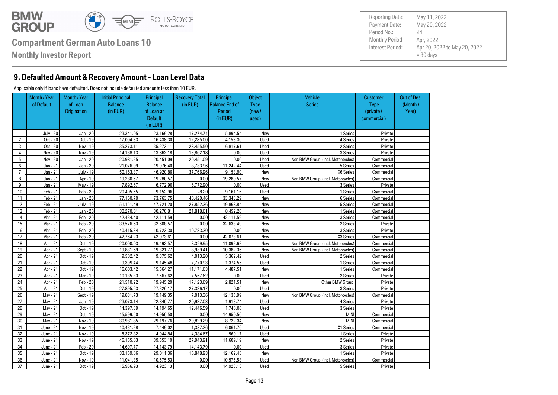

**Monthly Investor Report**

### **9. Defaulted Amount & Recovery Amount - Loan Level Data**

#### Applicable only if loans have defaulted. Does not include defaulted amounts less than 10 EUR.

Out of Deal (Month / Year) **Customer**  Type (private / commercial) **Object** Type (new / used) Principal Balance End of Period (in EUR) Recovery Total (in EUR) Vehicle **Series** Principal Balance of Loan at **Default** (in EUR) Initial Principal Balance (in EUR) Month / Year of Loan **Origination** Month / Year of Default 1 July - 20 Jan - 20 23.341.05 23.169.28 17.274.74 5.894.54 New New 1 Series Private 2 | Oct - 20 | Oct - 19 | 17.004.33 | 16.438.30 | 12.285.00 | 4.153.30 | Used | 4 Series | Private 3 | Oct - 20 | Nov - 19 | 35.273.11 35.273.11 28.455.50 6.817.61 Used Used 2 Series Private 4 | Nov - 20 | Nov - 19 | 14.138.13 | 13.862.18 | 13.862.18 | 0.00 | Used | Series | 3 Series | Private 5 Nov - 20 Jan - 20 20,981.25 20,451.09 20,451.09 0.00 Used Non BMW Group (incl. Motorcycles) Commercial 6 Jan - 21 Jan - 20 21,076.09 19,976.40 8,733.96 11,242.44 Used 5 Series Commercial 7 | Jan - 21 July - 19 50.163.37 46.920.86 37.766.96 9.153.90 New New X6 Series Commercial 8 Jan - 21 Apr - 19 19,280.57 19,280.57 0.00 19,280.57 New Non BMW Group (incl. Motorcycles) Commercial 9 Jan - 21 May - 19 7,892.67 6,772.90 6,772.90 0.00 Used 3 Series Private 10 | Feb-21 | Feb-20 | 20,405.55 9.152.96 | -8.20 9.161.16 Used Used 1 Series 1 Series Commercial 11 | Feb 21 | Jan 20 | 77.160.70 | 73.763.75 | 40.420.46 | 33.343.29 | New New | 6Series | Commercial 12 | Feb 21 July 19 51,151.49 47.721.20 27.852.36 19.868.84 New New Series Series Commercial 13 | Feb 21 | Jan 20 | 30,270,81 30,270,81 21,818.61 8,452.20 New New 1 Series Commercial 14 | Mar - 21 | Feb - 20 | 42,434,40 | 42,111,59 | 0.00 | 42,111,59 | New | 3Series | Commercial 15 Mar - 21 Feb - 20 33,576.63 32,608.57 0.00 32,633.49 New 2 Series Private 16 | Mar - 21 | Feb - 20 | 40.415.34 | 10.723.30 | 10.723.30 | 0.00 | New | Series | 3 Series Private 17 | Mar 21 | Feb 20 | 42.764.23 | 42.073.61 | 0.00 | 42.073.61 | New New X3 Series Commercial 18 Apr - 21 Oct - 19 20,000.03 19,492.57 8,399.95 11,092.62 New Non BMW Group (incl. Motorcycles) Commercial 19 Apr - 21 Sept - 19 19,831.69 19,321.77 8,939.41 10,382.36 New Non BMW Group (incl. Motorcycles) Commercial 20 | Apr - 21 Oct - 19 9.582.42 9.375.62 4.013.20 5.362.42 Used 2 Series 2 Series Commercial 21 | Apr - 21 | Oct - 19 9.399.44 9.145.48 7.770.93 1,374.55 Used Used 1 Series Commercial 22 | Apr - 21 Oct - 19 16.603.42 15.564.27 11.171.63 4.487.51 New New 1 Series Commercial 23 | Apr - 21 Mar - 19 10.135.33 | 7.567.62 | 7.567.62 0.00 Used 2 Series | 2 Series Private 24 | Apr - 21 | Feb - 20 | 21.510.22 | 19.945.20 17.123.69 | 2.821.51 New New Other BMW Group Private 25 | Apr - 21 | Oct - 19 | 27,895.63 | 27,326.17 | 27,326.17 | 0.00 | Used | Series | 3 Series | Private 26 May - 21 Sept - 19 19,831.73 19,149.35 7,013.36 12,135.99 New Non BMW Group (incl. Motorcycles) Commercial 27 | Mav 21 | Jan 19 | 23.073.14 | 22.840.77 | 20.927.03 | 1.913.74 | Used | Aseries | 4 Series | Private 28 | Mav 21 | Oct - 19 | 14.397.39 | 14.194.65 | 12.446.59 | 1.748.06 | Used | Series | 3 Series Private 29 May - 21 Oct - 19 15,599.50 14,950.50 0.00 14,950.50 New MINI Commercial 30 May - 21 Nov - 19 30,981.85 29,197.76 20,829.29 8,722.34 New MINI Commercial 31 June - 21 Nov - 19 10.431.28 7.449.02 1.387.26 6.061.76 Used Vertal X1 Series Commercial 32 June - 21 Nov - 19 5.372.82 4.944.84 4.384.67 560.17 Used Used 1 Series 1 Series Private 33 June - 21 Nov - 19 46.155.83 39.553.10 27.943.91 11.609.19 New New 2 Series 2 Series Private 34 June - 21 Feb - 20 14.697.77 14.143.79 14.143.79 0.00 Used 3Series 3Series Private 35 June - 21 Oct - 19 33.159.86 29.011.36 16.848.93 12.162.43 New New 1 Series Private 36 June - 21 Nov - 19 11,041.35 10,575.53 0.00 10,575.53 Used Non BMW Group (incl. Motorcycles) Commercial 37 June - 21 Oct - 19 15.956.93 14.923.13 0.00 14.923.13 Used Series 5 Series Private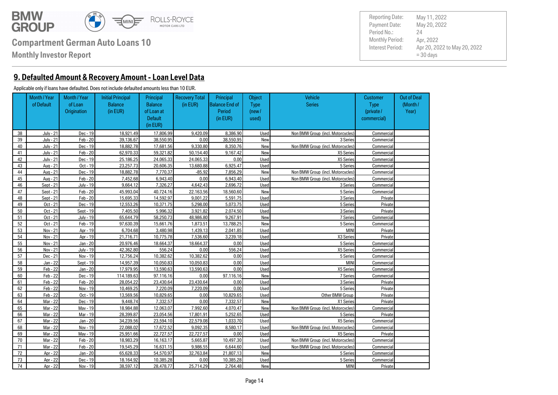

**Monthly Investor Report**

**9. Defaulted Amount & Recovery Amount - Loan Level Data**

#### Applicable only if loans have defaulted. Does not include defaulted amounts less than 10 EUR.

Out of Deal (Month / Year) **Customer**  Type (private / commercial) **Object** Type (new / used) Principal Balance End of Period (in EUR) Recovery Total (in EUR) Vehicle **Series** Principal Balance of Loan at **Default** (in EUR) Initial Principal Balance (in EUR) Month / Year of Loan **Origination** Month / Year of Default 38 July - 21 Dec - 19 18,921.49 17,806.99 9,420.09 8,386.90 Used Non BMW Group (incl. Motorcycles) Commercial 39 July - 21 Feb - 20 39,136.67 38,550.95 0.00 38,550.95 New New 3 Series Commercial 40 July - 21 Dec - 19 18,882.78 17,681.56 9,330.80 8,350.76 New Non BMW Group (incl. Motorcycles) Commercial 41 July - 21 Feb - 20 62,970.33 59,321.82 50,154.40 9,167.42 New X5 Series Commercial 42 July - 21 Dec - 19 25,186.25 24,065.33 24,065.33 0.00 Used X5 Series Commercial 43 | Aug 21 Oct - 19 | 23,257.73 | 20,606,35 | 13,680,88 | 6,925.47 | Used | Series | Series | Commercial 44 Aug - 21 Dec - 19 18,882.78 7,770.37 -85.92 7,856.29 New Non BMW Group (incl. Motorcycles) Commercial 45 Aug - 21 Feb - 20 7,452.68 6,943.40 0.00 6,943.40 Used Non BMW Group (incl. Motorcycles) Commercial 46 | Sept - 21 July - 19 | 9,664.12 | 7,326.27 | 4,642.43 | 2,696.72 | Used | Septes | Series | Commercial 47 | Sept - 21 Feb - 20 45,993.04 40.724.16 22.163.56 18,560.60 New New Sept 20, 5 Series Commercial 48 | Sept - 21 | Feb - 20 | 15,695.33 | 14,592.97 | 9,001.22 | 5,591.75 | Used | Series | 3 Series | Private 49 | Oct - 21 Dec - 19 | 12,553.26 | 10.371.75 | 5.298.00 | 5.073.75 | Used | Series | SSeries Private 50 Oct - 21 Sept - 19 7,405.50 3,996.32 3,921.82 3,927.82 3,074.50 Used 3 Series 3 Series Private 51 | Oct - 21 | July - 19 | 65.644.79 | 58.250.73 | 48.986.80 | 9.267.91 | New New | 7 Series | Commercial 52 Oct - 21 Feb - 19 97.630.39 15.661.76 1.873.51 13.788.25 New New Steries Commercial 53 | Nov-21 | Apr-19 | 6.704.68 | 3.480.98 | 1.439.13 | 2.041.85 | Used | MINI Private MINI Private 54 Nov 21 Apr 19 21,716.71 10.775.78 7.536.60 3.239.18 Used X3 Series X3 Series Private 55 | Nov 21 | Jan 20 | 20.976.46 | 18.664.37 | 18.664.37 | 0.00 | Used | Series | SSeries Commercial 56 Nov - 21 July - 19 42,362.80 556.24 0.00 556.24 Used X5 Series Commercial 57 Dec - 21 Nov - 19 12.756.24 10.382.62 10.382.62 0.00 Used Series 5 Series Commercial 58 Jan - 22 Sept - 19 14,957.39 10.050.83 10.050.83 0.00 Used MINI Commercial 59 Feb - 22 Jan - 20 17.979.95 13.590.63 13.590.63 0.00 Used Weel X5 Series Xammercial 60 Feb - 22 Dec - 19 114.189.63 97.116.16 0.00 97.116.16 New New 7 Series Commercial 61 Feb - 22 Feb - 20 28.054.22 23.430.64 23.430.64 0.00 Used 3 Series 3 Series Private 62 Feb - 22 Nov - 19 10.469.25 7.220.09 7.220.09 0.00 Used Series 5 Series Private 63 Feb - 22 Oct - 19 13.569.56 10.829.65 0.00 10.829.65 Used Other BMW Group Private 64 | Mar 22 | Dec - 19 | 9.448.74 | 7.332.57 | 0.00 | 7.332.57 New New X1 Series Private 65 Mar - 22 May - 19 18,984.88 12,063.07 7,992.60 4,070.47 New Non BMW Group (incl. Motorcycles) Commercial 66 | Mar 22 | Mar 19 | 28.399.87 | 23.054.56 17.801.91 | 5.252.65 Used | Joseph Series | Steries Private 67 | Mar 22 | Jan 20 34.239.56 23.594.10 22.579.08 1.033.70 Used Xan Americal X5 Series Commercial 68 Mar - 22 Nov - 19 22,088.02 17,672.52 9,092.35 8,580.17 Used Non BMW Group (incl. Motorcycles) Commercial 69 | Mar 22 | Mav 19 | 25.951.66 | 22.727.57 | 22.727.57 | 0.00 Used X5 Series X5 Series Private 70 Mar - 22 Feb - 20 18,983.29 16,163.17 5,665.87 10,497.30 Used Non BMW Group (incl. Motorcycles) Commercial 71 Mar - 22 Feb - 20 19,545.29 16,631.15 9,986.55 6,644.60 Used Non BMW Group (incl. Motorcycles) Commercial 72 Apr - 22 Jan - 20 65,628.33 54,570.97 32,763.84 21,807.13 New 5 Series Commercial 73 | Apr - 22 | Dec - 19 | 18.164.92 | 10.385.28 | 0.00 | 10.385.28 | Used | Series | SSeries | Commercial 74 Apr - 22 Nov - 19 38.597.12 28.478.77 25.714.29 2.764.48 New MINI MINI Private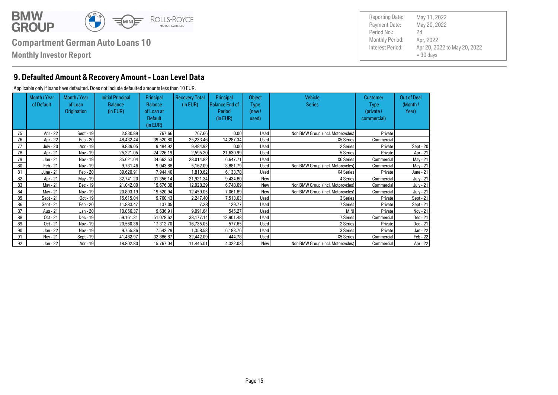

**Monthly Investor Report**

Payment Date: Period No.: Apr 20, 2022 to May 20, 2022  $= 30$  days May 20, 2022 Apr, 2022 24 Reporting Date: May 11, 2022

### **9. Defaulted Amount & Recovery Amount - Loan Level Data**

#### Applicable only if loans have defaulted. Does not include defaulted amounts less than 10 EUR.

|    | Month / Year<br>of Default | Month / Year<br>of Loan<br><b>Origination</b> | <b>Initial Principal</b><br><b>Balance</b><br>(in EUR) | Principal<br><b>Balance</b><br>of Loan at<br><b>Default</b><br>(in EUR) | <b>Recovery Total</b><br>(in EUR) | Principal<br>Balance End of<br>Period<br>(in EUR) | Object<br>Type<br>(new /<br>used) | <b>Vehicle</b><br><b>Series</b>   | <b>Customer</b><br><b>Type</b><br>(private /<br>commercial) | <b>Out of Deal</b><br>(Month/<br>Year) |
|----|----------------------------|-----------------------------------------------|--------------------------------------------------------|-------------------------------------------------------------------------|-----------------------------------|---------------------------------------------------|-----------------------------------|-----------------------------------|-------------------------------------------------------------|----------------------------------------|
| 75 | Apr - 22                   | Sept - $19$                                   | 2.830.89                                               | 767.66                                                                  | 767.66                            | 0.00                                              | Used                              | Non BMW Group (incl. Motorcycles) | Private                                                     |                                        |
| 76 | Apr - 22                   | Feb - 20                                      | 48.432.44                                              | 39.520.80                                                               | 25.233.46                         | 14.287.34                                         | Used                              | X5 Series                         | Commercial                                                  |                                        |
| 77 | July - 20                  | Apr - 19                                      | 9.839.05                                               | 9.484.92                                                                | 9.484.92                          | 0.00                                              | Used                              | 2 Series                          | Private                                                     | Sept - 20                              |
| 78 | Apr - 21                   | Nov - 19                                      | 25.221.05                                              | 24.226.19                                                               | 2.595.20                          | 21.630.99                                         | Used                              | 5 Series                          | Private                                                     | Apr - 21                               |
| 79 | $Jan - 21$                 | Nov - 19                                      | 35.621.04                                              | 34.662.53                                                               | 28.014.82                         | 6.647.71                                          | <b>Used</b>                       | X6 Series                         | Commercial                                                  | May - 21                               |
| 80 | Feb - 21                   | Nov - 19                                      | 9.731.46                                               | 9.043.88                                                                | 5.162.09                          | 3.881.79                                          | Used                              | Non BMW Group (incl. Motorcycles) | Commercial                                                  | May - 21                               |
| 81 | June - 21                  | Feb - 20                                      | 39.620.91                                              | 7.944.40                                                                | 1.810.62                          | 6.133.78                                          | Used                              | X4 Series                         | Private                                                     | June - 21                              |
| 82 | Apr - 21                   | May - 19                                      | 32.741.20                                              | 31.356.14                                                               | 21.921.34                         | 9.434.80                                          | New                               | 4 Series                          | Commercial                                                  | <b>July - 21</b>                       |
| 83 | Mav - 21                   | Dec - 19                                      | 21.042.00                                              | 19.676.38                                                               | 12.928.29                         | 6.748.09                                          | New                               | Non BMW Group (incl. Motorcycles) | Commercial                                                  | <b>July - 21</b>                       |
| 84 | Mav - 21                   | Nov - 19                                      | 20.893.19                                              | 19.520.94                                                               | 12.459.05                         | 7.061.89                                          | New                               | Non BMW Group (incl. Motorcycles) | Commercial                                                  | <b>July - 21</b>                       |
| 85 | Sept - 21                  | $Oct - 19$                                    | 15.615.04                                              | 9.760.43                                                                | 2.247.40                          | 7.513.03                                          | Used                              | 3 Series                          | Private                                                     | Sept - 21                              |
| 86 | Sept - 21                  | Feb - 20                                      | 11.883.47                                              | 137.05                                                                  | 7.28                              | 129.77                                            | Used                              | 7 Series                          | Private                                                     | Sept - 21                              |
| 87 | Aug - 21                   | Jan - 20                                      | 10.856.37                                              | 9.636.91                                                                | 9.091.64                          | 545.27                                            | Used                              | <b>MINI</b>                       | Private                                                     | Nov - 21                               |
| 88 | Oct - 21                   | Dec - 19                                      | 59.161.31                                              | 51.078.62                                                               | 38.177.14                         | 12.901.48                                         | Used                              | 7 Series                          | Commercial                                                  | Dec - 21                               |
| 89 | Oct - 21                   | Nov - 19                                      | 20.560.36                                              | 17.312.70                                                               | 16.735.05                         | 577.65                                            | Used                              | 2 Series                          | Private                                                     | Dec - 21                               |
| 90 | Jan - 22                   | Nov - 19                                      | 9.755.36                                               | 7.542.29                                                                | 1.358.53                          | 6.183.76                                          | Used                              | 3 Series                          | Private                                                     | Jan - 22                               |
| 91 | Nov - 21                   | Sept - 19                                     | 41.482.97                                              | 32.886.87                                                               | 32.442.09                         | 444.78                                            | Used                              | X5 Series                         | Commercial                                                  | Feb - 22                               |
| 92 | Jan - 22                   | Apr - 19                                      | 18.802.80                                              | 15.767.04                                                               | 11.445.01                         | 4.322.03                                          | New                               | Non BMW Group (incl. Motorcycles) | Commercial                                                  | Apr - 22                               |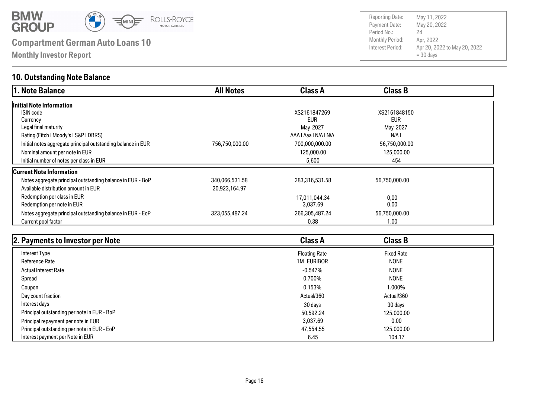

**Monthly Investor Report**

### **10. Outstanding Note Balance**

| 1. Note Balance                                              | <b>All Notes</b> | <b>Class A</b>        | <b>Class B</b> |  |
|--------------------------------------------------------------|------------------|-----------------------|----------------|--|
| Initial Note Information                                     |                  |                       |                |  |
| <b>ISIN</b> code                                             |                  | XS2161847269          | XS2161848150   |  |
| Currency                                                     |                  | <b>EUR</b>            | <b>EUR</b>     |  |
| Legal final maturity                                         |                  | May 2027              | May 2027       |  |
| Rating (Fitch   Moody's   S&P   DBRS)                        |                  | AAA   Aaa   N/A   N/A | N/A I          |  |
| Initial notes aggregate principal outstanding balance in EUR | 756,750,000.00   | 700,000,000.00        | 56,750,000.00  |  |
| Nominal amount per note in EUR                               |                  | 125,000.00            | 125,000.00     |  |
| Initial number of notes per class in EUR                     |                  | 5,600                 | 454            |  |
| <b>Current Note Information</b>                              |                  |                       |                |  |
| Notes aggregate principal outstanding balance in EUR - BoP   | 340,066,531.58   | 283,316,531.58        | 56,750,000.00  |  |
| Available distribution amount in EUR                         | 20,923,164.97    |                       |                |  |
| Redemption per class in EUR                                  |                  | 17,011,044.34         | 0,00           |  |
| Redemption per note in EUR                                   |                  | 3,037.69              | 0.00           |  |
| Notes aggregate principal outstanding balance in EUR - EoP   | 323,055,487.24   | 266,305,487.24        | 56,750,000.00  |  |
| Current pool factor                                          |                  | 0.38                  | 1.00           |  |

| 2. Payments to Investor per Note            | <b>Class A</b>       | <b>Class B</b>    |  |
|---------------------------------------------|----------------------|-------------------|--|
| Interest Type                               | <b>Floating Rate</b> | <b>Fixed Rate</b> |  |
| Reference Rate                              | 1M_EURIBOR           | <b>NONE</b>       |  |
| <b>Actual Interest Rate</b>                 | $-0.547%$            | <b>NONE</b>       |  |
| Spread                                      | 0.700%               | <b>NONE</b>       |  |
| Coupon                                      | 0.153%               | 1.000%            |  |
| Day count fraction                          | Actual/360           | Actual/360        |  |
| Interest days                               | 30 days              | 30 days           |  |
| Principal outstanding per note in EUR - BoP | 50,592,24            | 125,000,00        |  |
| Principal repayment per note in EUR         | 3.037.69             | 0.00              |  |
| Principal outstanding per note in EUR - EoP | 47,554,55            | 125,000.00        |  |
| Interest payment per Note in EUR            | 6.45                 | 104.17            |  |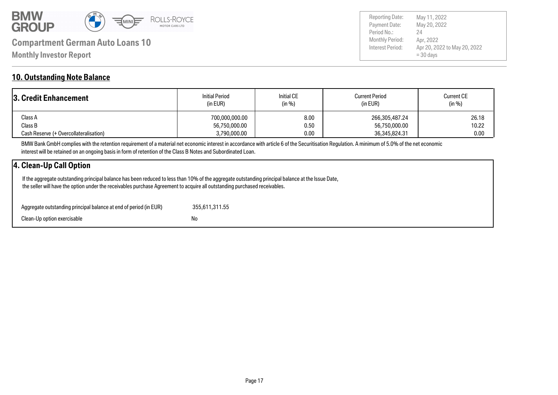

Payment Date: Period No.: Apr 20, 2022 to May 20, 2022 = 30 days May 20, 2022 Apr, 2022 24 Reporting Date: May 11, 2022

### **10. Outstanding Note Balance**

| <b>3. Credit Enhancement</b>           | <b>Initial Period</b><br>(in EUR) | <b>Initial CE</b><br>(in %) | <b>Current Period</b><br>(in EUR) | <b>Current CE</b><br>(in %) |  |
|----------------------------------------|-----------------------------------|-----------------------------|-----------------------------------|-----------------------------|--|
| Class A                                | 700,000,000.00                    | 8.00                        | 266,305,487.24                    | 26.18                       |  |
| Class B                                | 56,750,000.00                     | 0.50                        | 56,750,000.00                     | 10.22                       |  |
| Cash Reserve (+ Overcollateralisation) | 3,790,000.00                      | 0.00                        | 36,345,824.31                     | 0.00                        |  |

BMW Bank GmbH complies with the retention requirement of a material net economic interest in accordance with article 6 of the Securitisation Regulation. A minimum of 5.0% of the net economic interest will be retained on an ongoing basis in form of retention of the Class B Notes and Subordinated Loan.

### **4. Clean-Up Call Option**

 If the aggregate outstanding principal balance has been reduced to less than 10% of the aggregate outstanding principal balance at the Issue Date, the seller will have the option under the receivables purchase Agreement to acquire all outstanding purchased receivables.

| Aggregate outstanding principal balance at end of period (in EUR) | 355.611.311.55 |
|-------------------------------------------------------------------|----------------|
| Clean-Up option exercisable                                       | No.            |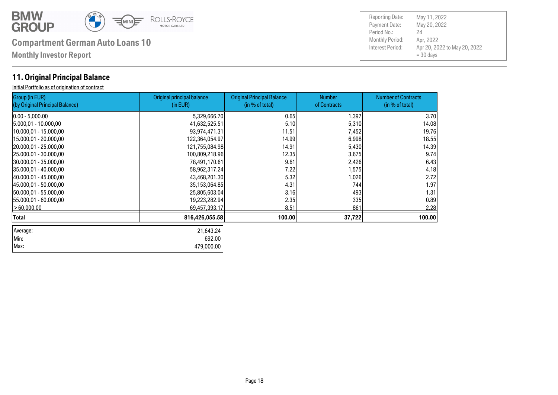

Max: 479,000.00 Min: 692.00 Average: 21,643.24

# **Compartment German Auto Loans 10** Monthly Period:

**Monthly Investor Report**

### **11. Original Principal Balance**

Initial Portfolio as of origination of contract

Group (in EUR)

Number of Contracts (in % of total) Number of Contracts Original Principal Balance (in % of total) Original principal balance (in EUR) (by Original Principal Balance) 0.00 - 5,000.00 5,329,666.70| 0.65| 1,397| 3.70 |5.000,01 - 10.000,00 41,632,525.51| 5.10| 5,310| 14.08<br>|10.000,01 - 15.000,00 93,974,471.31| 11.51| 7,452| 19.76 10.000,01 - 15.000,00 93,974,471.31 11.51 7,452 19.76 15.000,01 - 20.000,00 122,364,054.97 14.99 6,998 18.55 20.000,01 - 25.000,00 121,755,084.98 14.91 5,430 14.39 1 |25.000,01 - 30.000,00 100,809,218.96| 12.35| 3,675| 9.74  $\begin{array}{cccccccccc} \left. \left. \left. \right. \right. \right. & \left. \left. \right. & \left. \right. & \left. \right. & \left. \right. & \left. \right. & \left. \right. & \left. \right. & \left. \right. & \left. \right. & \left. \right. & \left. \right. & \left. \right. & \left. \right. & \left. \right. & \left. \right. & \left. \right. & \left. \right. & \left. \right. & \left. \right. & \left. \right. & \left. \right. & \left. \right. & \left. \right. & \left. \right. & \left. \right. & \left. \right. & \left. \right. &$  $[35.000,01$  - 40.000,00  $[35.000,01]$   $[58,962,317.24]$   $[7.22]$   $[1.575]$   $[1.575]$   $[1.575]$   $[1.575]$   $[1.575]$ 40.000,01 - 45.000,00 43,468,201.30 5.32 1,026 2.72 45.000,01 - 50.000,00 35,153,064.85 4.31 744 1.97 50.000,01 - 55.000,00 25,805,603.04 3.16 493 1.31

55.000,01 - 60.000,00 19,223,282.94 2.35 335 0.89 > 60.000,00 69,457,393.17 8.51 861 2.28 **Total 816,426,055.58 100.00 37,722 100.00**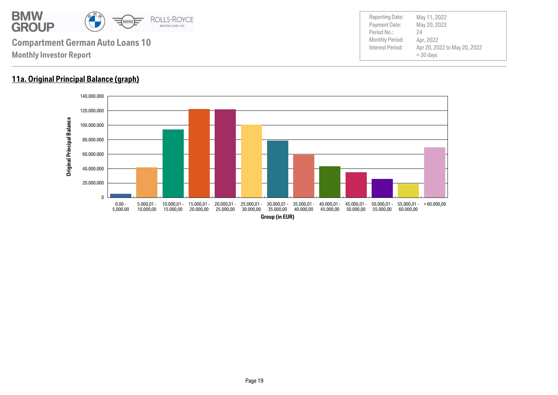

### **11a. Original Principal Balance (graph)**

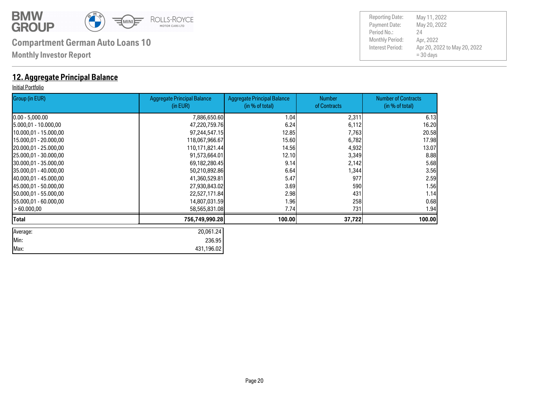

**Monthly Investor Report**

### **12. Aggregate Principal Balance**

#### Initial Portfolio

| Group (in EUR)         | <b>Aggregate Principal Balance</b><br>(in EUR) | <b>Aggregate Principal Balance</b><br>(in % of total) | <b>Number</b><br>of Contracts | <b>Number of Contracts</b><br>(in % of total) |
|------------------------|------------------------------------------------|-------------------------------------------------------|-------------------------------|-----------------------------------------------|
| $[0.00 - 5,000.00]$    | 7,886,650.60                                   | 1.04                                                  | 2,311                         | 6.13                                          |
| 15.000,01 - 10.000,00  | 47,220,759.76                                  | 6.24                                                  | 6,112                         | 16.20                                         |
| 10.000,01 - 15.000,00  | 97,244,547.15                                  | 12.85                                                 | 7,763                         | 20.58                                         |
| 15.000,01 - 20.000,00  | 118,067,966.67                                 | 15.60                                                 | 6,782                         | 17.98                                         |
| 20.000,01 - 25.000,00  | 110,171,821.44                                 | 14.56                                                 | 4,932                         | 13.07                                         |
| 25.000,01 - 30.000,00  | 91,573,664.01                                  | 12.10                                                 | 3,349                         | 8.88                                          |
| 30.000,01 - 35.000,00  | 69,182,280.45                                  | 9.14                                                  | 2,142                         | 5.68                                          |
| 135.000,01 - 40.000,00 | 50,210,892.86                                  | 6.64                                                  | 1,344                         | 3.56                                          |
| 40.000,01 - 45.000,00  | 41,360,529.81                                  | 5.47                                                  | 977                           | 2.59                                          |
| 45.000,01 - 50.000,00  | 27,930,843.02                                  | 3.69                                                  | 590                           | 1.56                                          |
| 150.000,01 - 55.000,00 | 22,527,171.84                                  | 2.98                                                  | 431                           | 1.14                                          |
| 155.000,01 - 60.000,00 | 14,807,031.59                                  | 1.96                                                  | 258                           | 0.68                                          |
| > 60.000,00            | 58,565,831.08                                  | 7.74                                                  | 731                           | 1.94                                          |
| Total                  | 756,749,990.28                                 | 100.00                                                | 37,722                        | 100.00                                        |
| Average:               | 20,061.24                                      |                                                       |                               |                                               |
| Min:                   | 236.95                                         |                                                       |                               |                                               |
| Max:                   | 431,196.02                                     |                                                       |                               |                                               |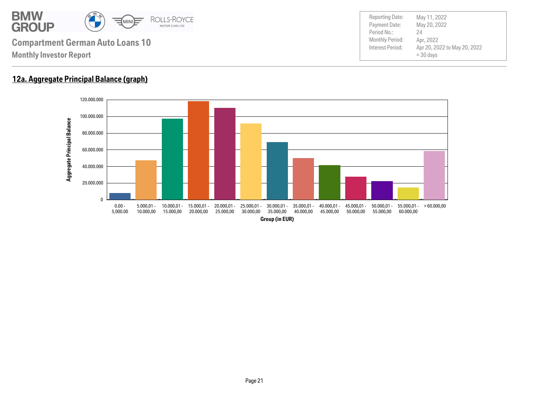

### **12a. Aggregate Principal Balance (graph)**

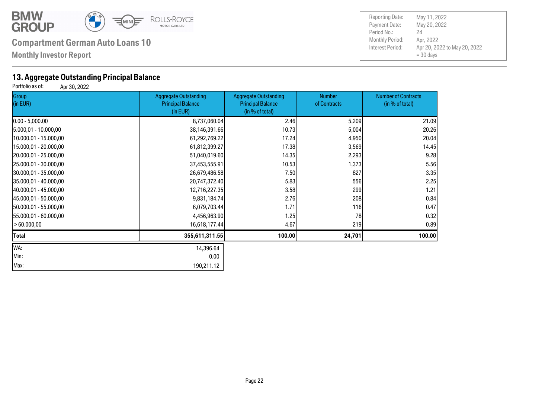

**Monthly Investor Report**

# **13. Aggregate Outstanding Principal Balance**<br>**Portfolio as of:** Apr 30, 2022

Apr 30, 2022

| Group<br>(in EUR)     | <b>Aggregate Outstanding</b><br><b>Principal Balance</b><br>(in EUR) | <b>Aggregate Outstanding</b><br><b>Principal Balance</b><br>(in % of total) | <b>Number</b><br>of Contracts | <b>Number of Contracts</b><br>(in % of total) |  |
|-----------------------|----------------------------------------------------------------------|-----------------------------------------------------------------------------|-------------------------------|-----------------------------------------------|--|
| $[0.00 - 5,000.00]$   | 8,737,060.04                                                         | 2.46                                                                        | 5,209                         | 21.09                                         |  |
| 5.000,01 - 10.000,00  | 38,146,391.66                                                        | 10.73                                                                       | 5,004                         | 20.26                                         |  |
| 10.000,01 - 15.000,00 | 61,292,769.22                                                        | 17.24                                                                       | 4,950                         | 20.04                                         |  |
| 15.000,01 - 20.000,00 | 61,812,399.27                                                        | 17.38                                                                       | 3,569                         | 14.45                                         |  |
| 20.000,01 - 25.000,00 | 51,040,019.60                                                        | 14.35                                                                       | 2,293                         | 9.28                                          |  |
| 25.000,01 - 30.000,00 | 37,453,555.91                                                        | 10.53                                                                       | 1,373                         | 5.56                                          |  |
| 30.000,01 - 35.000,00 | 26,679,486.58                                                        | 7.50                                                                        | 827                           | 3.35                                          |  |
| 35.000,01 - 40.000,00 | 20,747,372.40                                                        | 5.83                                                                        | 556                           | 2.25                                          |  |
| 40.000,01 - 45.000,00 | 12,716,227.35                                                        | 3.58                                                                        | 299                           | 1.21                                          |  |
| 45.000,01 - 50.000,00 | 9,831,184.74                                                         | 2.76                                                                        | 208                           | 0.84                                          |  |
| 50.000,01 - 55.000,00 | 6,079,703.44                                                         | 1.71                                                                        | 116                           | 0.47                                          |  |
| 55.000,01 - 60.000,00 | 4,456,963.90                                                         | 1.25                                                                        | 78                            | 0.32                                          |  |
| >60.000,00            | 16,618,177.44                                                        | 4.67                                                                        | 219                           | 0.89                                          |  |
| Total                 | 355,611,311.55                                                       | 100.00                                                                      | 24,701                        | 100.00                                        |  |
| WA:                   | 14,396.64                                                            |                                                                             |                               |                                               |  |
| Min:                  | 0.00                                                                 |                                                                             |                               |                                               |  |
| Max:                  | 190,211.12                                                           |                                                                             |                               |                                               |  |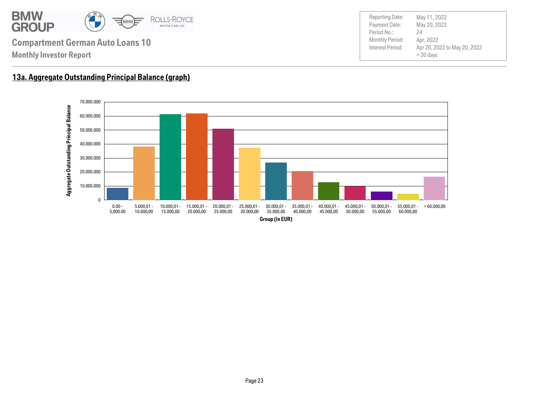

Payment Date: Period No.: Apr 20, 2022 to May 20, 2022 = 30 days May 20, 2022 Apr, 2022 24 Reporting Date: May 11, 2022

### **13a. Aggregate Outstanding Principal Balance (graph)**

**Monthly Investor Report**

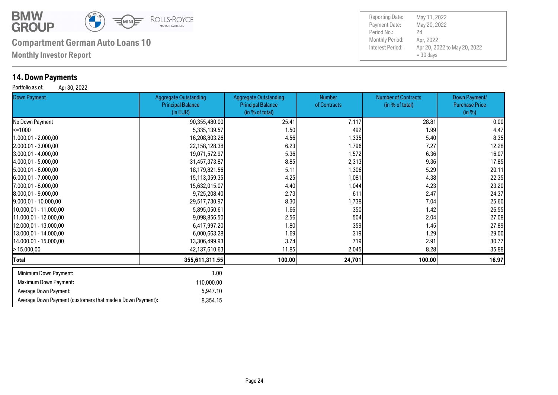

Average Down Payment (customers that made a Down Payment): 8,354.15

# **Compartment German Auto Loans 10** Monthly Period:

**Monthly Investor Report**

### **14. Down Payments**

Portfolio as of: Apr 30, 2022

| <b>Down Payment</b>          | <b>Aggregate Outstanding</b><br><b>Principal Balance</b><br>(in EUR) | <b>Aggregate Outstanding</b><br><b>Principal Balance</b><br>(in % of total) | Number<br>of Contracts | <b>Number of Contracts</b><br>(in % of total) | Down Payment/<br><b>Purchase Price</b><br>(in %) |
|------------------------------|----------------------------------------------------------------------|-----------------------------------------------------------------------------|------------------------|-----------------------------------------------|--------------------------------------------------|
| No Down Payment              | 90,355,480.00                                                        | 25.41                                                                       | 7,117                  | 28.81                                         | 0.00                                             |
| $\leq 1000$                  | 5,335,139.57                                                         | 1.50                                                                        | 492                    | 1.99                                          | 4.47                                             |
| 1.000,01 - 2.000,00          | 16,208,803.26                                                        | 4.56                                                                        | 1,335                  | 5.40                                          | 8.35                                             |
| $[2.000, 01 - 3.000, 00]$    | 22,158,128.38                                                        | 6.23                                                                        | 1,796                  | 7.27                                          | 12.28                                            |
| 3.000,01 - 4.000,00          | 19,071,572.97                                                        | 5.36                                                                        | 1,572                  | 6.36                                          | 16.07                                            |
| 4.000,01 - 5.000,00          | 31,457,373.87                                                        | 8.85                                                                        | 2,313                  | 9.36                                          | 17.85                                            |
| 5.000,01 - 6.000,00          | 18,179,821.56                                                        | 5.11                                                                        | 1,306                  | 5.29                                          | 20.11                                            |
| [6.000,01 - 7.000,00         | 15,113,359.35                                                        | 4.25                                                                        | 1,081                  | 4.38                                          | 22.35                                            |
| 7.000,01 - 8.000,00          | 15,632,015.07                                                        | 4.40                                                                        | 1,044                  | 4.23                                          | 23.20                                            |
| $[8.000, 01 - 9.000, 00]$    | 9,725,208.40                                                         | 2.73                                                                        | 611                    | 2.47                                          | 24.37                                            |
| 9.000,01 - 10.000,00         | 29,517,730.97                                                        | 8.30                                                                        | 1,738                  | 7.04                                          | 25.60                                            |
| 10.000,01 - 11.000,00        | 5,895,050.61                                                         | 1.66                                                                        | 350                    | 1.42                                          | 26.55                                            |
| 11.000,01 - 12.000,00        | 9,098,856.50                                                         | 2.56                                                                        | 504                    | 2.04                                          | 27.08                                            |
| 12.000,01 - 13.000,00        | 6,417,997.20                                                         | 1.80                                                                        | 359                    | 1.45                                          | 27.89                                            |
| 13.000,01 - 14.000,00        | 6,000,663.28                                                         | 1.69                                                                        | 319                    | 1.29                                          | 29.00                                            |
| 14.000,01 - 15.000,00        | 13,306,499.93                                                        | 3.74                                                                        | 719                    | 2.91                                          | 30.77                                            |
| >15.000,00                   | 42,137,610.63                                                        | 11.85                                                                       | 2,045                  | 8.28                                          | 35.88                                            |
| <b>Total</b>                 | 355,611,311.55                                                       | 100.00                                                                      | 24,701                 | 100.00                                        | 16.97                                            |
| Minimum Down Payment:        | 1.00                                                                 |                                                                             |                        |                                               |                                                  |
| <b>Maximum Down Payment:</b> | 110,000.00                                                           |                                                                             |                        |                                               |                                                  |
| Average Down Payment:        | 5,947.10                                                             |                                                                             |                        |                                               |                                                  |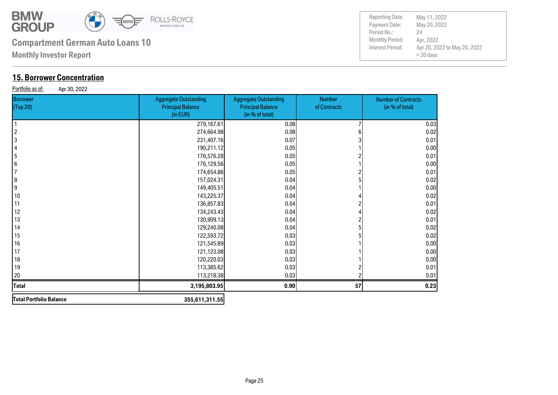

**Monthly Investor Report**

### **15. Borrower Concentration**

Portfolio as of: Apr 30, 2022

| . .p. - - , <b>- - - -</b><br>Borrower<br>(Top 20) | <b>Aggregate Outstanding</b><br><b>Principal Balance</b><br>(in EUR) | <b>Aggregate Outstanding</b><br><b>Principal Balance</b><br>(in % of total) | <b>Number</b><br>of Contracts | <b>Number of Contracts</b><br>(in % of total) |
|----------------------------------------------------|----------------------------------------------------------------------|-----------------------------------------------------------------------------|-------------------------------|-----------------------------------------------|
| 1                                                  | 279,167.61                                                           | 0.08                                                                        |                               | 0.03                                          |
| $\overline{c}$                                     | 274,664.98                                                           | 0.08                                                                        |                               | 0.02                                          |
| $\boldsymbol{3}$                                   | 231,407.16                                                           | 0.07                                                                        |                               | 0.01                                          |
| 4                                                  | 190,211.12                                                           | 0.05                                                                        |                               | 0.00                                          |
| 5                                                  | 176,576.28                                                           | 0.05                                                                        |                               | 0.01                                          |
| $6\phantom{.}6$                                    | 176,129.56                                                           | 0.05                                                                        |                               | 0.00                                          |
| $\overline{7}$                                     | 174,654.86                                                           | 0.05                                                                        |                               | 0.01                                          |
| $\boldsymbol{8}$                                   | 157,024.31                                                           | 0.04                                                                        |                               | 0.02                                          |
| 9                                                  | 149,405.51                                                           | 0.04                                                                        |                               | 0.00                                          |
| 10                                                 | 143,225.37                                                           | 0.04                                                                        |                               | 0.02                                          |
| 11                                                 | 136,857.83                                                           | 0.04                                                                        |                               | 0.01                                          |
| 12                                                 | 134,243.43                                                           | 0.04                                                                        |                               | 0.02                                          |
| 13                                                 | 130,909.13                                                           | 0.04                                                                        |                               | 0.01                                          |
| 14                                                 | 129,240.08                                                           | 0.04                                                                        |                               | 0.02                                          |
| 15                                                 | 122,593.72                                                           | 0.03                                                                        |                               | 0.02                                          |
| 16                                                 | 121,545.89                                                           | 0.03                                                                        |                               | 0.00                                          |
| 17                                                 | 121,123.08                                                           | 0.03                                                                        |                               | 0.00                                          |
| 18                                                 | 120,220.03                                                           | 0.03                                                                        |                               | 0.00                                          |
| 19                                                 | 113,385.62                                                           | 0.03                                                                        |                               | 0.01                                          |
| 20                                                 | 113,218.38                                                           | 0.03                                                                        |                               | 0.01                                          |
| <b>Total</b>                                       | 3,195,803.95                                                         | 0.90                                                                        | 57                            | 0.23                                          |
| Total Portfolio Balance                            | 355,611,311.55                                                       |                                                                             |                               |                                               |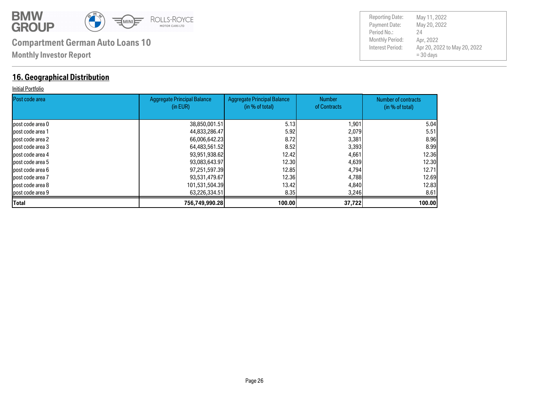

### **16. Geographical Distribution**

#### Initial Portfolio

| <b>Post code area</b> | <b>Aggregate Principal Balance</b><br>(in EUR) | <b>Aggregate Principal Balance</b><br>(in % of total) | <b>Number</b><br>of Contracts | <b>Number of contracts</b><br>(in % of total) |
|-----------------------|------------------------------------------------|-------------------------------------------------------|-------------------------------|-----------------------------------------------|
|                       |                                                |                                                       |                               |                                               |
| lpost code area 0     | 38,850,001.51                                  | 5.13                                                  | 1,901                         | 5.04                                          |
| lpost code area 1     | 44,833,286.47                                  | 5.92                                                  | 2,079                         | 5.51                                          |
| lpost code area 2     | 66,006,642.23                                  | 8.72                                                  | 3,381                         | 8.96                                          |
| lpost code area 3     | 64,483,561.52                                  | 8.52                                                  | 3,393                         | 8.99                                          |
| lpost code area 4     | 93,951,938.62                                  | 12.42l                                                | 4,661                         | 12.36                                         |
| post code area 5      | 93,083,643.97                                  | 12.30                                                 | 4,639                         | 12.30                                         |
| lpost code area 6     | 97,251,597.39                                  | 12.85                                                 | 4,794                         | 12.71                                         |
| post code area 7      | 93,531,479.67                                  | 12.36                                                 | 4,788                         | 12.69                                         |
| lpost code area 8     | 101,531,504.39                                 | 13.42I                                                | 4,840                         | 12,83                                         |
| post code area 9      | 63,226,334.51                                  | 8.35                                                  | 3,246                         | 8.61                                          |
| <b>Total</b>          | 756,749,990.28                                 | 100.00                                                | 37,722                        | 100.00                                        |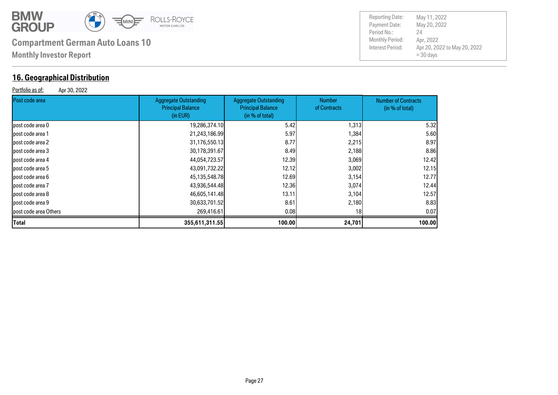

### **16. Geographical Distribution**

Portfolio as of: Apr 30, 2022

Payment Date: Period No.: Apr 20, 2022 to May 20, 2022  $= 30$  days May 20, 2022 Apr, 2022 24

Reporting Date: May 11, 2022

| Post code area        | Aggregate Outstanding<br><b>Principal Balance</b><br>(in EUR) | <b>Aggregate Outstanding</b><br><b>Principal Balance</b><br>(in % of total) | <b>Number</b><br>of Contracts | <b>Number of Contracts</b><br>(in % of total) |
|-----------------------|---------------------------------------------------------------|-----------------------------------------------------------------------------|-------------------------------|-----------------------------------------------|
| post code area 0      | 19,286,374.10                                                 | 5.42                                                                        | 1,313                         | 5.32                                          |
| post code area 1      | 21,243,186.99                                                 | 5.97                                                                        | 1,384                         | 5.60                                          |
| post code area 2      | 31,176,550.13                                                 | 8.77                                                                        | 2,215                         | 8.97                                          |
| post code area 3      | 30,178,391.67                                                 | 8.49                                                                        | 2,188                         | 8.86                                          |
| post code area 4      | 44,054,723.57                                                 | 12.39                                                                       | 3,069                         | 12.42                                         |
| post code area 5      | 43,091,732.22                                                 | 12.12                                                                       | 3,002                         | 12.15                                         |
| post code area 6      | 45,135,548.78                                                 | 12.69                                                                       | 3,154                         | 12.77                                         |
| post code area 7      | 43,936,544.48                                                 | 12.36                                                                       | 3,074                         | 12.44                                         |
| post code area 8      | 46,605,141.48                                                 | 13.11                                                                       | 3,104                         | 12.57                                         |
| post code area 9      | 30,633,701.52                                                 | 8.61                                                                        | 2,180                         | 8.83                                          |
| post code area Others | 269,416.61                                                    | 0.08                                                                        | 18                            | 0.07                                          |
| <b>Total</b>          | 355,611,311.55                                                | 100.00                                                                      | 24,701                        | 100.00                                        |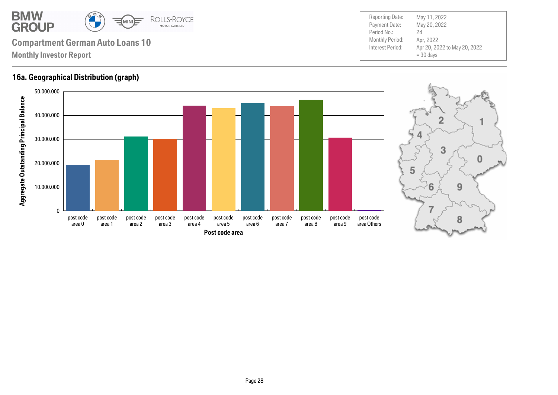

### **16a. Geographical Distribution (graph)**



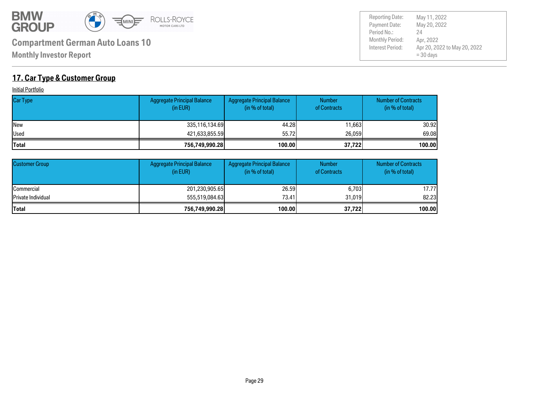

Payment Date: Period No.: Apr 20, 2022 to May 20, 2022  $= 30$  days May 20, 2022 Apr, 2022 24

Reporting Date: May 11, 2022

### **17. Car Type & Customer Group**

**Initial Portfolio** 

| <b>Car Type</b> | Aggregate Principal Balance<br>(in EUR) | Aggregate Principal Balance<br>(in % of total) | <b>Number</b><br>of Contracts | <b>Number of Contracts</b><br>(in % of total) |
|-----------------|-----------------------------------------|------------------------------------------------|-------------------------------|-----------------------------------------------|
| <b>INew</b>     | 335,116,134.69                          | 44.28                                          | 11,663                        | 30.92l                                        |
| <b>Used</b>     | 421,633,855.59                          | 55.72                                          | 26,059                        | 69.08                                         |
| <b>Total</b>    | 756,749,990.28                          | 100.00                                         | 37,722                        | 100.00                                        |

| <b>Customer Group</b>      | <b>Aggregate Principal Balance</b><br>(in EUR) | Aggregate Principal Balance<br>(in % of total) | <b>Number</b><br>of Contracts | <b>Number of Contracts</b><br>(in % of total) |
|----------------------------|------------------------------------------------|------------------------------------------------|-------------------------------|-----------------------------------------------|
| <b>ICommercial</b>         | 201,230,905.65                                 | 26,59                                          | 6,703                         | 17.77l                                        |
| <b>IPrivate Individual</b> | 555,519,084,63                                 | 73.41                                          | 31.019                        | 82.23                                         |
| <b>Total</b>               | 756,749,990.28                                 | 100.00                                         | 37,722                        | 100.00                                        |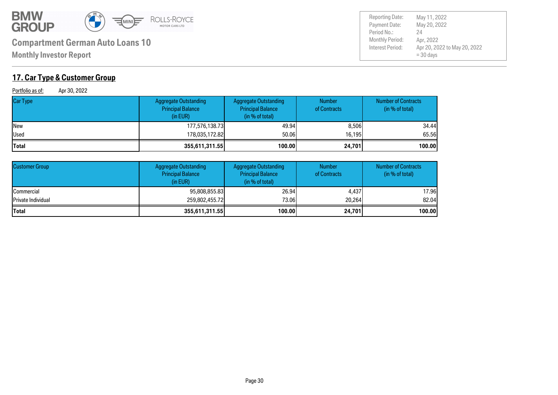

**Monthly Investor Report**

### **17. Car Type & Customer Group**

Portfolio as of: Apr 30, 2022

| Car Type     | <b>Aggregate Outstanding</b><br><b>Principal Balance</b><br>(in EUR) | <b>Aggregate Outstanding</b><br><b>Principal Balance</b><br>(in % of total) | <b>Number</b><br>of Contracts | <b>Number of Contracts</b><br>(in % of total) |
|--------------|----------------------------------------------------------------------|-----------------------------------------------------------------------------|-------------------------------|-----------------------------------------------|
| New          | 177,576,138.73                                                       | 49.94                                                                       | 8,506                         | 34.44                                         |
| Used         | 178,035,172.82                                                       | 50.06                                                                       | 16.195                        | 65.56                                         |
| <b>Total</b> | 355,611,311.55                                                       | 100.00                                                                      | 24,701                        | 100.00                                        |

| <b>Customer Group</b> | <b>Aggregate Outstanding</b><br><b>Principal Balance</b><br>(in EUR) | <b>Aggregate Outstanding</b><br><b>Principal Balance</b><br>(in % of total) | <b>Number</b><br>of Contracts | <b>Number of Contracts</b><br>(in % of total) |
|-----------------------|----------------------------------------------------------------------|-----------------------------------------------------------------------------|-------------------------------|-----------------------------------------------|
| <b>Commercial</b>     | 95,808,855.83                                                        | 26.94                                                                       | 4.437                         | 17.96                                         |
| Private Individual    | 259,802,455.72                                                       | 73.06                                                                       | 20,264                        | 82.04                                         |
| <b>Total</b>          | 355,611,311.55                                                       | 100.00                                                                      | 24,701                        | 100.00                                        |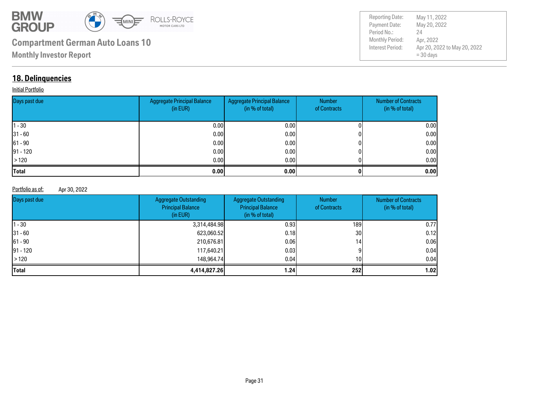

Payment Date: Period No.: Apr 20, 2022 to May 20, 2022  $= 30$  days May 20, 2022 Apr, 2022 24 Reporting Date: May 11, 2022

### **18. Delinquencies**

#### **Initial Portfolio**

| Days past due | Aggregate Principal Balance<br>(in EUR) | <b>Aggregate Principal Balance</b><br>(in % of total) | <b>Number</b><br>of Contracts | <b>Number of Contracts</b><br>(in % of total) |
|---------------|-----------------------------------------|-------------------------------------------------------|-------------------------------|-----------------------------------------------|
| $ 1 - 30 $    | 0.00                                    | 0.001                                                 |                               | 0.00                                          |
| $ 31 - 60 $   | 0.00                                    | 0.00 <sub>l</sub>                                     |                               | 0.00                                          |
| $ 61 - 90 $   | 0.00                                    | 0.00 <sub>l</sub>                                     |                               | 0.00                                          |
| $ 91 - 120 $  | 0.00                                    | 0.00 <sub>l</sub>                                     |                               | 0.00                                          |
| >120          | 0.00                                    | 0.00 <sub>l</sub>                                     |                               | 0.00                                          |
| <b>Total</b>  | 0.00                                    | 0.00                                                  |                               | 0.00                                          |

#### Portfolio as of: Apr 30, 2022

| Days past due | <b>Aggregate Outstanding</b><br><b>Principal Balance</b><br>(in EUR) | <b>Aggregate Outstanding</b><br><b>Principal Balance</b><br>(in % of total) | <b>Number</b><br>of Contracts | <b>Number of Contracts</b><br>(in % of total) |
|---------------|----------------------------------------------------------------------|-----------------------------------------------------------------------------|-------------------------------|-----------------------------------------------|
| $11 - 30$     | 3,314,484.98                                                         | 0.93 <sub>1</sub>                                                           | 189 l                         | 0.77                                          |
| $ 31 - 60 $   | 623,060.52                                                           | 0.18                                                                        | 30 <sub>l</sub>               | 0.12                                          |
| $ 61 - 90 $   | 210,676.81                                                           | 0.061                                                                       | 14 <sub>1</sub>               | 0.06                                          |
| $ 91 - 120 $  | 117,640.21                                                           | 0.03 <sub>l</sub>                                                           |                               | 0.04                                          |
| >120          | 148,964,74                                                           | 0.04                                                                        | 10 <sup>1</sup>               | 0.04                                          |
| <b>Total</b>  | 4,414,827.26                                                         | 1.24 <sub>1</sub>                                                           | <b>2521</b>                   | 1.02                                          |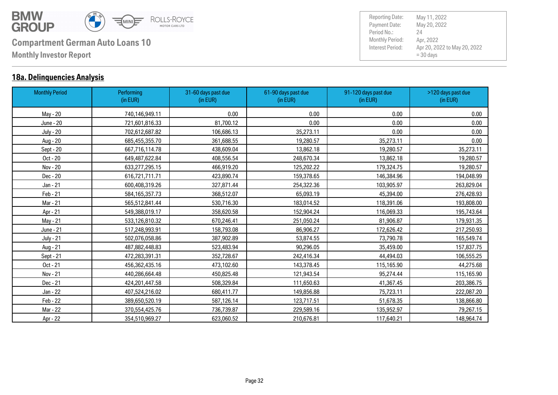

### **18a. Delinquencies Analysis**

| <b>Monthly Period</b> | Performing<br>(in EUR) | 31-60 days past due<br>(in EUR) | 61-90 days past due<br>(in EUR) | 91-120 days past due<br>(in EUR) | >120 days past due<br>(in EUR) |
|-----------------------|------------------------|---------------------------------|---------------------------------|----------------------------------|--------------------------------|
| May - 20              | 740,146,949.11         | 0.00                            | 0.00                            | 0.00                             | 0.00                           |
| June - 20             | 721,601,816.33         | 81,700.12                       | 0.00                            | 0.00                             | 0.00                           |
| <b>July - 20</b>      | 702,612,687.82         | 106,686.13                      | 35,273.11                       | 0.00                             | 0.00                           |
| Aug - 20              | 685,455,355.70         | 361,688.55                      | 19,280.57                       | 35,273.11                        | 0.00                           |
| Sept - 20             | 667,716,114.78         | 438,609.04                      | 13,862.18                       | 19,280.57                        | 35,273.11                      |
| Oct - 20              | 649,487,622.84         | 408,556.54                      | 248,670.34                      | 13,862.18                        | 19,280.57                      |
| Nov - 20              | 633,277,295.15         | 466,919.20                      | 125,202.22                      | 179,324.75                       | 19,280.57                      |
| Dec - 20              | 616,721,711.71         | 423,890.74                      | 159,378.65                      | 146,384.96                       | 194,048.99                     |
| Jan - 21              | 600,408,319.26         | 327,871.44                      | 254,322.36                      | 103,905.97                       | 263,829.04                     |
| Feb - 21              | 584,165,357.73         | 368,512.07                      | 65,093.19                       | 45,394.00                        | 276,428.93                     |
| Mar - 21              | 565,512,841.44         | 530,716.30                      | 183,014.52                      | 118,391.06                       | 193,808.00                     |
| Apr - 21              | 549,388,019.17         | 358,620.58                      | 152,904.24                      | 116,069.33                       | 195,743.64                     |
| May - 21              | 533,126,810.32         | 670,246.41                      | 251,050.24                      | 81,906.87                        | 179,931.35                     |
| June - 21             | 517,248,993.91         | 158,793.08                      | 86,906.27                       | 172,626.42                       | 217,250.93                     |
| <b>July - 21</b>      | 502,076,058.86         | 387,902.89                      | 53,874.55                       | 73,790.78                        | 165,549.74                     |
| Aug - 21              | 487,882,448.83         | 523,483.94                      | 90,296.05                       | 35,459.00                        | 157,837.75                     |
| Sept - 21             | 472,283,391.31         | 352,728.67                      | 242,416.34                      | 44,494.03                        | 106,555.25                     |
| Oct - 21              | 456,362,435.16         | 473,102.60                      | 143,378.45                      | 115,165.90                       | 44,275.68                      |
| Nov - 21              | 440,286,664.48         | 450,825.48                      | 121,943.54                      | 95,274.44                        | 115,165.90                     |
| Dec - 21              | 424,201,447.58         | 508,329.84                      | 111,650.63                      | 41,367.45                        | 203,386.75                     |
| Jan - 22              | 407,524,216.02         | 680,411.77                      | 149,856.88                      | 75,723.11                        | 222,087.20                     |
| Feb - 22              | 389,650,520.19         | 587,126.14                      | 123,717.51                      | 51,678.35                        | 138,866.80                     |
| Mar - 22              | 370,554,425.76         | 736,739.87                      | 229,589.16                      | 135,952.97                       | 79,267.15                      |
| Apr - 22              | 354,510,969.27         | 623,060.52                      | 210,676.81                      | 117,640.21                       | 148,964.74                     |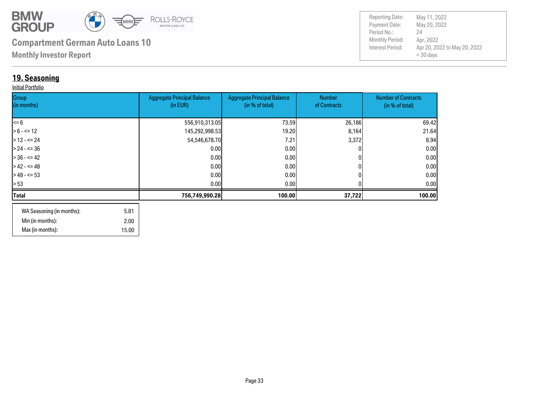

**Monthly Investor Report**

### **19. Seasoning**

#### Initial Portfolio

| Group<br>(in months) | <b>Aggregate Principal Balance</b><br>(in EUR) | <b>Aggregate Principal Balance</b><br>(in % of total) | Number<br>of Contracts | <b>Number of Contracts</b><br>(in % of total) |
|----------------------|------------------------------------------------|-------------------------------------------------------|------------------------|-----------------------------------------------|
|                      |                                                |                                                       |                        |                                               |
| $\leq 6$             | 556,910,313.05                                 | 73.59                                                 | 26,186                 | 69.42                                         |
| $> 6 - \le 12$       | 145,292,998.53                                 | 19.20                                                 | 8,164                  | 21.64                                         |
| $>12 - 52$           | 54,546,678.70                                  | 7.21                                                  | 3,372                  | 8.94                                          |
| $> 24 - 5 = 36$      | 0.00                                           | 0.00                                                  |                        | 0.00                                          |
| $> 36 - 5 = 42$      | 0.00                                           | 0.00                                                  |                        | 0.00                                          |
| $>42 - 5 = 48$       | 0.00                                           | 0.00                                                  |                        | 0.00                                          |
| $>$ 48 - <= 53       | 0.00                                           | 0.001                                                 |                        | 0.00                                          |
| > 53                 | 0.00                                           | 0.00 <sub>l</sub>                                     |                        | 0.00 <sub>l</sub>                             |
| Total                | 756,749,990.28                                 | 100.00                                                | 37,722                 | 100.00                                        |
|                      |                                                |                                                       |                        |                                               |

| WA Seasoning (in months): | 5.81  |
|---------------------------|-------|
| Min (in months):          | 2.00  |
| Max (in months):          | 15.00 |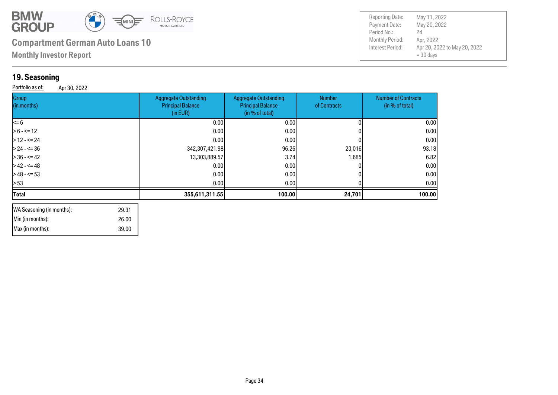

**Monthly Investor Report**

### **19. Seasoni**

**Group** (in months)

| <u>19. Seasoning</u>             |                                                                      |                                                                             |                               |                                               |
|----------------------------------|----------------------------------------------------------------------|-----------------------------------------------------------------------------|-------------------------------|-----------------------------------------------|
| Portfolio as of:<br>Apr 30, 2022 |                                                                      |                                                                             |                               |                                               |
| Group<br>(in months)             | <b>Aggregate Outstanding</b><br><b>Principal Balance</b><br>(in EUR) | <b>Aggregate Outstanding</b><br><b>Principal Balance</b><br>(in % of total) | <b>Number</b><br>of Contracts | <b>Number of Contracts</b><br>(in % of total) |
| <= 6                             | 0.00                                                                 | 0.00                                                                        |                               | 0.00                                          |
| $> 6 - \le 12$                   | 0.00                                                                 | 0.00                                                                        |                               | 0.00                                          |
| $>$ 12 - <= 24                   | 0.001                                                                | 0.00                                                                        |                               | 0.00                                          |
| > 24 - <= 36                     | 342,307,421.98                                                       | 96.26                                                                       | 23,016                        | 93.18                                         |
| $> 36 - 5 = 42$                  | 13,303,889.57                                                        | 3.74                                                                        | 1,685                         | 6.82                                          |
| $>42 - 5 = 48$                   | 0.00                                                                 | 0.00                                                                        |                               | 0.00                                          |
| $>48 - 53$                       | 0.00                                                                 | 0.00                                                                        |                               | 0.00                                          |
| > 53                             | 0.00                                                                 | 0.00                                                                        |                               | 0.00                                          |
| <b>Total</b>                     | 355,611,311.55                                                       | 100.00                                                                      | 24,701                        | 100.00                                        |

| WA Seasoning (in months): | 29.31 |  |
|---------------------------|-------|--|
| Min (in months):          | 26.00 |  |
| Max (in months):          | 39.00 |  |
|                           |       |  |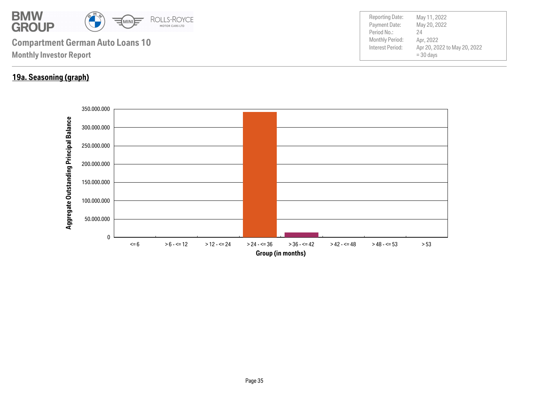

### **19a. Seasoning (graph)**

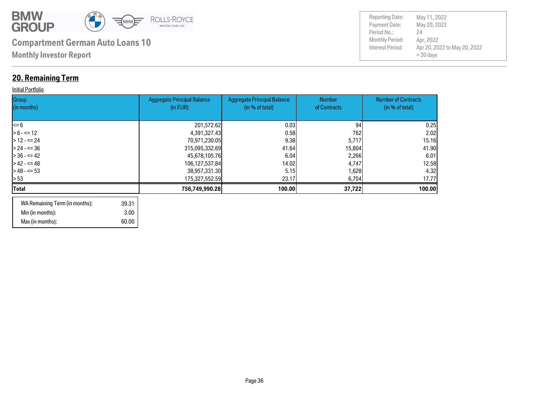

### **20. Remaining Term**

#### **Initial Portfolio**

| Group<br>(in months) | <b>Aggregate Principal Balance</b><br>(in EUR) | <b>Aggregate Principal Balance</b><br>(in % of total) | <b>Number</b><br>of Contracts | <b>Number of Contracts</b><br>(in % of total) |
|----------------------|------------------------------------------------|-------------------------------------------------------|-------------------------------|-----------------------------------------------|
| l<= 6                | 201,572.62                                     | 0.03                                                  | 94                            | 0.25                                          |
| $> 6 - \le 12$       | 4,391,327.43                                   | 0.58                                                  | 762                           | 2.02                                          |
| $>12 - 524$          | 70,971,230.05                                  | 9.38                                                  | 5,717                         | 15.16                                         |
| $> 24 - 5 = 36$      | 315,095,332.69                                 | 41.64                                                 | 15,804                        | 41.90                                         |
| $> 36 - 5 = 42$      | 45,678,105.76                                  | 6.04                                                  | 2,266                         | 6.01                                          |
| $> 42 - 5 = 48$      | 106,127,537.84                                 | 14.02                                                 | 4,747                         | 12.58                                         |
| $> 48 - 53$          | 38,957,331.30                                  | 5.15                                                  | 1,628                         | 4.32                                          |
| > 53                 | 175,327,552.59                                 | 23.17                                                 | 6,704                         | 17.77                                         |
| Total                | 756,749,990.28                                 | 100.00                                                | 37,722                        | 100.00                                        |
|                      |                                                |                                                       |                               |                                               |

| WA Remaining Term (in months): | 39.31 |
|--------------------------------|-------|
| Min (in months):               | 3.00  |
| Max (in months):               | 60.00 |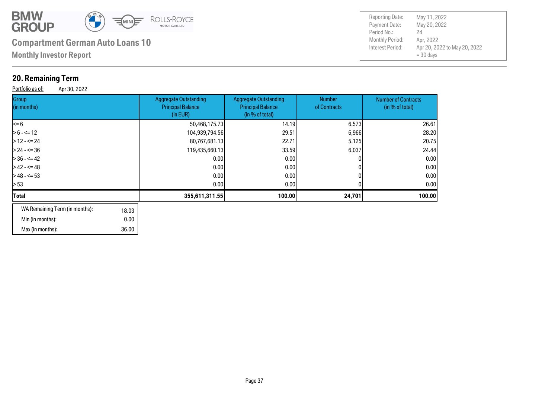

 36.00 0.00

# **Monthly Investor Report Compartment German Auto Loans 10** Monthly Period:

### **20. Remaining Term**

Min (in months): Max (in months):

Gro  $\ln$ 

Portfolio as of: Apr 30, 2022

| Group<br>(in months)                    | <b>Aggregate Outstanding</b><br><b>Principal Balance</b><br>(in EUR) | <b>Aggregate Outstanding</b><br><b>Principal Balance</b><br>(in % of total) | <b>Number</b><br>of Contracts | <b>Number of Contracts</b><br>(in % of total) |
|-----------------------------------------|----------------------------------------------------------------------|-----------------------------------------------------------------------------|-------------------------------|-----------------------------------------------|
| <= 6                                    | 50,468,175.73                                                        | 14.19                                                                       | 6,573                         | 26.61                                         |
| $> 6 - \le 12$                          | 104,939,794.56                                                       | 29.51                                                                       | 6,966                         | 28.20                                         |
| $>$ 12 - <= 24                          | 80,767,681.13                                                        | 22.71                                                                       | 5,125                         | 20.75                                         |
| $> 24 - 536$                            | 119,435,660.13                                                       | 33.59                                                                       | 6,037                         | 24.44                                         |
| $> 36 - 42$                             | 0.00                                                                 | 0.00                                                                        |                               | 0.00                                          |
| $>42 - 548$                             | 0.00                                                                 | 0.00                                                                        |                               | 0.00                                          |
| > 48 - <= 53                            | 0.00                                                                 | 0.001                                                                       |                               | 0.00                                          |
| > 53                                    | 0.00                                                                 | 0.00                                                                        |                               | 0.00                                          |
| Total                                   | 355,611,311.55                                                       | 100.00                                                                      | 24,701                        | 100.00                                        |
| WA Remaining Term (in months):<br>18.03 |                                                                      |                                                                             |                               |                                               |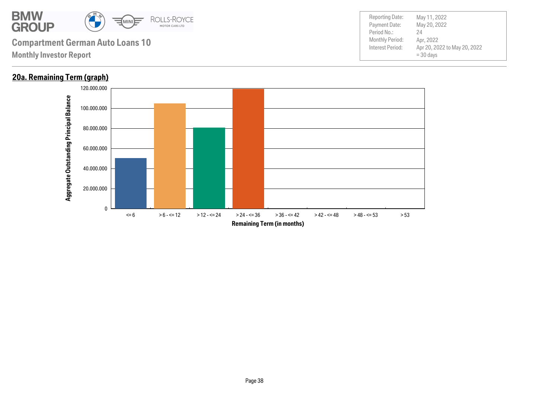

### **20a. Remaining Term (graph)**

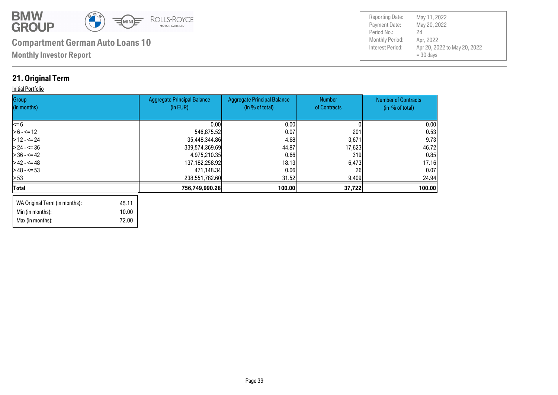

Payment Date: Period No.: Apr 20, 2022 to May 20, 2022  $= 30$  days May 20, 2022 Apr, 2022 24 Reporting Date: May 11, 2022

### **21. Original Term**

#### **Initial Portfolio**

Min (in months):

Max (in months): 72.00

10.00

| Group<br>(in months)                   | <b>Aggregate Principal Balance</b><br>(in EUR) | <b>Aggregate Principal Balance</b><br>(in % of total) | <b>Number</b><br>of Contracts | <b>Number of Contracts</b><br>(in % of total) |
|----------------------------------------|------------------------------------------------|-------------------------------------------------------|-------------------------------|-----------------------------------------------|
|                                        |                                                |                                                       |                               |                                               |
| $\leq 6$                               | 0.00                                           | 0.001                                                 |                               | 0.00                                          |
| $> 6 - \le 12$                         | 546,875.52                                     | 0.07                                                  | 201                           | 0.53                                          |
| $> 12 - 5 = 24$                        | 35,448,344.86                                  | 4.68                                                  | 3,671                         | 9.73                                          |
| $> 24 - 5 = 36$                        | 339,574,369.69                                 | 44.87                                                 | 17,623                        | 46.72                                         |
| $> 36 - 5 = 42$                        | 4,975,210.35                                   | 0.66                                                  | 319 <sub>1</sub>              | 0.85                                          |
| $> 42 - 5 = 48$                        | 137, 182, 258. 92                              | 18.13                                                 | 6,473                         | 17.16                                         |
| $> 48 - 53$                            | 471,148.34                                     | 0.06                                                  | 26                            | 0.07                                          |
| l> 53                                  | 238,551,782.60                                 | 31.52                                                 | 9,409                         | 24.94                                         |
| <b>Total</b>                           | 756,749,990.28                                 | 100.00                                                | 37,722                        | 100.00                                        |
| WA Original Term (in months):<br>45.11 |                                                |                                                       |                               |                                               |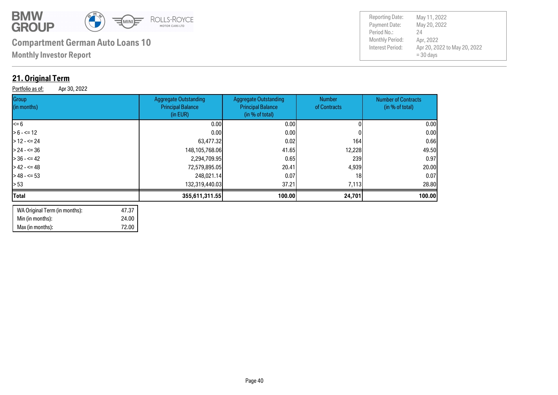

**Monthly Investor Report**

### **21. Original Term**

Portfolio as of: Apr 30, 2022

| Group<br>(in months) | <b>Aggregate Outstanding</b><br><b>Principal Balance</b><br>(in EUR) | <b>Aggregate Outstanding</b><br><b>Principal Balance</b><br>(in % of total) | Number<br>of Contracts | <b>Number of Contracts</b><br>(in % of total) |
|----------------------|----------------------------------------------------------------------|-----------------------------------------------------------------------------|------------------------|-----------------------------------------------|
| $\leq$ 6             | 0.001                                                                | 0.001                                                                       |                        | 0.00                                          |
| $> 6 - \le 12$       | 0.001                                                                | 0.001                                                                       |                        | 0.00                                          |
| $>12 - 5 = 24$       | 63,477.32                                                            | 0.02                                                                        | 164                    | 0.66                                          |
| $> 24 - 5 = 36$      | 148,105,768.06                                                       | 41.65                                                                       | 12,228                 | 49.50                                         |
| $> 36 - 5 = 42$      | 2,294,709.95                                                         | 0.65                                                                        | 239                    | 0.97                                          |
| $>42 - 5 = 48$       | 72,579,895.05                                                        | 20.41                                                                       | 4,939                  | 20.00                                         |
| $> 48 - 53$          | 248,021.14                                                           | 0.07                                                                        | 18 <sub>l</sub>        | 0.07                                          |
| > 53                 | 132,319,440.03                                                       | 37.21                                                                       | 7,113                  | 28.80                                         |
| <b>Total</b>         | 355,611,311.55                                                       | 100.00                                                                      | 24,701                 | 100.00                                        |
|                      |                                                                      |                                                                             |                        |                                               |

| WA Original Term (in months): | 47.37 |
|-------------------------------|-------|
| Min (in months):              | 24.00 |
| Max (in months):              | 72.00 |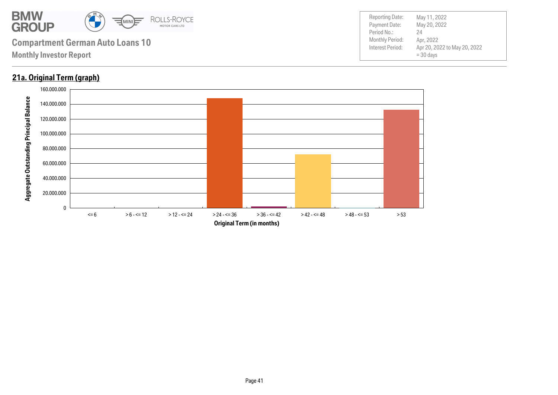

### **21a. Original Term (graph)**

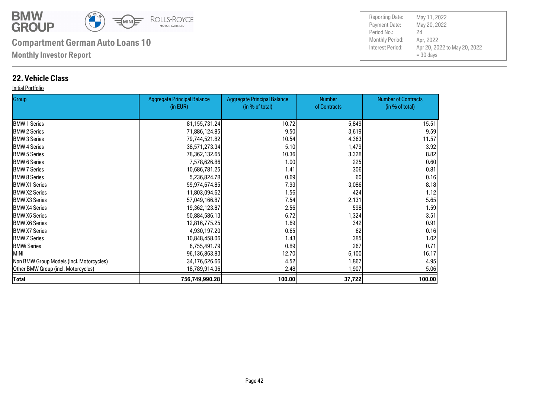

**Monthly Investor Report**

### **22. Vehicle Class**

#### Initial Portfolio

| Group                                    | <b>Aggregate Principal Balance</b> | <b>Aggregate Principal Balance</b> | <b>Number</b> | <b>Number of Contracts</b> |
|------------------------------------------|------------------------------------|------------------------------------|---------------|----------------------------|
|                                          | (in EUR)                           | (in % of total)                    | of Contracts  | (in % of total)            |
| <b>BMW 1 Series</b>                      | 81, 155, 731. 24                   | 10.72                              | 5,849         | 15.51                      |
| <b>BMW 2 Series</b>                      | 71,886,124.85                      | 9.50                               | 3,619         | 9.59                       |
| <b>BMW 3 Series</b>                      | 79,744,521.82                      | 10.54                              | 4,363         | 11.57                      |
| <b>I</b> BMW 4 Series                    | 38,571,273.34                      | 5.10                               | 1,479         | 3.92                       |
| <b>BMW 5 Series</b>                      | 78,362,132.65                      | 10.36                              | 3,328         | 8.82                       |
| <b>I</b> BMW 6 Series                    | 7,578,626.86                       | 1.00                               | 225           | 0.60                       |
| <b>I</b> BMW 7 Series                    | 10,686,781.25                      | 1.41                               | 306           | 0.81                       |
| <b>BMW 8 Series</b>                      | 5,236,824.78                       | 0.69                               | 60            | 0.16                       |
| <b>IBMW X1 Series</b>                    | 59,974,674.85                      | 7.93                               | 3,086         | 8.18                       |
| <b>BMW X2 Series</b>                     | 11,803,094.62                      | 1.56                               | 424           | 1.12                       |
| <b>IBMW X3 Series</b>                    | 57,049,166.87                      | 7.54                               | 2,131         | 5.65                       |
| <b>BMW X4 Series</b>                     | 19,362,123.87                      | 2.56                               | 598           | 1.59                       |
| <b>IBMW X5 Series</b>                    | 50,884,586.13                      | 6.72                               | 1,324         | 3.51                       |
| <b>IBMW X6 Series</b>                    | 12,816,775.25                      | 1.69                               | 342           | 0.91                       |
| <b>BMW X7 Series</b>                     | 4,930,197.20                       | 0.65                               | 62            | 0.16                       |
| <b>BMW Z Series</b>                      | 10,848,458.06                      | 1.43                               | 385           | 1.02                       |
| <b>BMWi Series</b>                       | 6,755,491.79                       | 0.89                               | 267           | 0.71                       |
| <b>MINI</b>                              | 96,136,863.83                      | 12.70                              | 6,100         | 16.17                      |
| Non BMW Group Models (incl. Motorcycles) | 34,176,626.66                      | 4.52                               | 1,867         | 4.95                       |
| Other BMW Group (incl. Motorcycles)      | 18,789,914.36                      | 2.48                               | 1,907         | 5.06                       |
| <b>Total</b>                             | 756,749,990.28                     | 100.00                             | 37,722        | 100.00                     |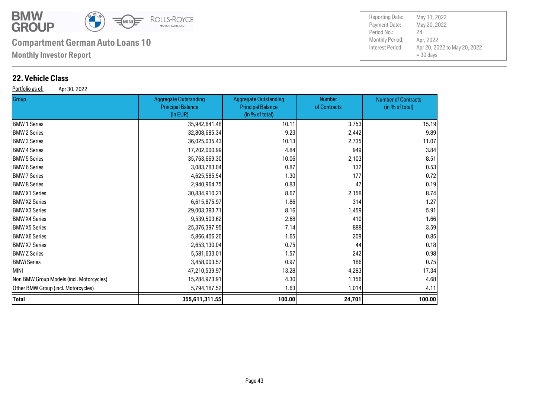

**Monthly Investor Report**

### **22. Vehicle Class**

Portfolio as of: Apr 30, 2022

| Group                                    | <b>Aggregate Outstanding</b><br><b>Principal Balance</b><br>(in EUR) | <b>Aggregate Outstanding</b><br><b>Principal Balance</b><br>(in % of total) | <b>Number</b><br>of Contracts | <b>Number of Contracts</b><br>(in % of total) |
|------------------------------------------|----------------------------------------------------------------------|-----------------------------------------------------------------------------|-------------------------------|-----------------------------------------------|
| <b>BMW 1 Series</b>                      | 35,942,641.48                                                        | 10.11                                                                       | 3,753                         | 15.19                                         |
| <b>BMW 2 Series</b>                      | 32,808,685.34                                                        | 9.23                                                                        | 2,442                         | 9.89                                          |
| <b>BMW 3 Series</b>                      | 36,025,035.43                                                        | 10.13                                                                       | 2,735                         | 11.07                                         |
| <b>BMW 4 Series</b>                      | 17,202,000.99                                                        | 4.84                                                                        | 949                           | 3.84                                          |
| <b>BMW 5 Series</b>                      | 35,763,669.30                                                        | 10.06                                                                       | 2,103                         | 8.51                                          |
| <b>BMW 6 Series</b>                      | 3,083,783.04                                                         | 0.87                                                                        | 132                           | 0.53                                          |
| <b>BMW 7 Series</b>                      | 4,625,585.54                                                         | 1.30                                                                        | 177                           | 0.72                                          |
| <b>BMW 8 Series</b>                      | 2,940,964.75                                                         | 0.83                                                                        | 47                            | 0.19                                          |
| <b>BMW X1 Series</b>                     | 30,834,910.21                                                        | 8.67                                                                        | 2,158                         | 8.74                                          |
| <b>BMW X2 Series</b>                     | 6,615,875.97                                                         | 1.86                                                                        | 314                           | 1.27                                          |
| <b>BMW X3 Series</b>                     | 29,003,383.71                                                        | 8.16                                                                        | 1,459                         | 5.91                                          |
| <b>BMW X4 Series</b>                     | 9,539,503.62                                                         | 2.68                                                                        | 410                           | 1.66                                          |
| <b>BMW X5 Series</b>                     | 25,376,397.95                                                        | 7.14                                                                        | 888                           | 3.59                                          |
| <b>BMW X6 Series</b>                     | 5,866,406.20                                                         | 1.65                                                                        | 209                           | 0.85                                          |
| <b>BMW X7 Series</b>                     | 2,653,130.04                                                         | 0.75                                                                        | 44                            | 0.18                                          |
| <b>BMW Z Series</b>                      | 5,581,633.01                                                         | 1.57                                                                        | 242                           | 0.98                                          |
| BMWi Series                              | 3,458,003.57                                                         | 0.97                                                                        | 186                           | 0.75                                          |
| MINI                                     | 47,210,539.97                                                        | 13.28                                                                       | 4,283                         | 17.34                                         |
| Non BMW Group Models (incl. Motorcycles) | 15,284,973.91                                                        | 4.30                                                                        | 1,156                         | 4.68                                          |
| Other BMW Group (incl. Motorcycles)      | 5,794,187.52                                                         | 1.63                                                                        | 1,014                         | 4.11                                          |
| Total                                    | 355,611,311.55                                                       | 100.00                                                                      | 24,701                        | 100.00                                        |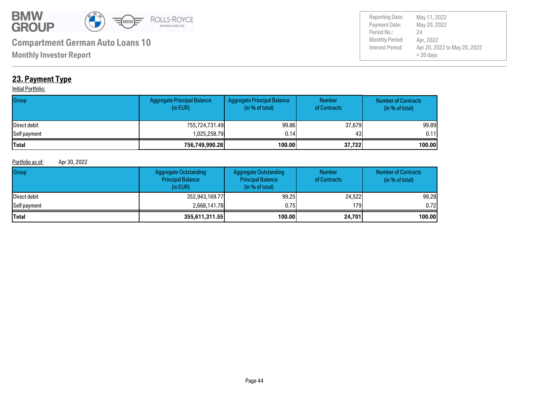

Payment Date: Period No.: Apr 20, 2022 to May 20, 2022  $= 30$  days May 20, 2022 Apr, 2022 24 Reporting Date: May 11, 2022

**Monthly Investor Report**

### **23. Payment Type**

#### **Initial Portfolio:**

| Group        | <b>Aggregate Principal Balance</b><br>(in EUR) | Aggregate Principal Balance<br>(in % of total) | <b>Number</b><br>of Contracts | <b>Number of Contracts</b><br>(in % of total) |
|--------------|------------------------------------------------|------------------------------------------------|-------------------------------|-----------------------------------------------|
| Direct debit | 755,724,731.49                                 | 99.86                                          | 37,679                        | 99.89                                         |
| Self payment | 1,025,258.79                                   | 0.14                                           | 431                           | 0.11                                          |
| <b>Total</b> | 756,749,990.28                                 | 100.00                                         | 37,722                        | 100.00                                        |

#### Portfolio as of: Apr 30, 2022

| Group        | <b>Aggregate Outstanding</b><br><b>Principal Balance</b><br>(in EUR) | <b>Aggregate Outstanding</b><br><b>Principal Balance</b><br>(in % of total) | <b>Number</b><br>of Contracts | <b>Number of Contracts</b><br>(in % of total) |
|--------------|----------------------------------------------------------------------|-----------------------------------------------------------------------------|-------------------------------|-----------------------------------------------|
| Direct debit | 352,943,169.77                                                       | 99.25                                                                       | 24,522                        | 99.28                                         |
| Self payment | 2,668,141.78                                                         | 0.75                                                                        | 179 l                         | 0.721                                         |
| <b>Total</b> | 355,611,311.55                                                       | 100.00                                                                      | 24,701                        | 100.00                                        |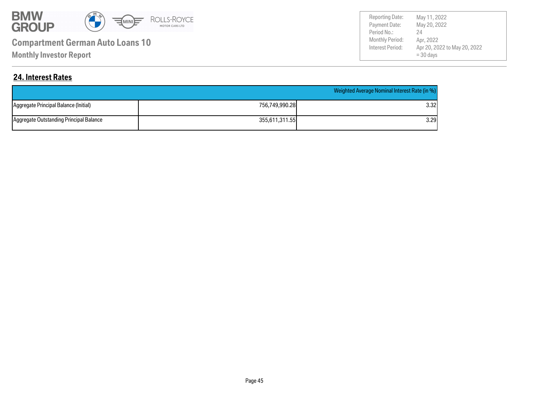

**Monthly Investor Report**

Payment Date: Period No.: Apr 20, 2022 to May 20, 2022  $= 30$  days May 20, 2022 Apr, 2022 24 Reporting Date: May 11, 2022

### **24. Interest Rates**

|                                         |                | Weighted Average Nominal Interest Rate (in %) |
|-----------------------------------------|----------------|-----------------------------------------------|
| Aggregate Principal Balance (Initial)   | 756,749,990.28 | 3.32I                                         |
| Aggregate Outstanding Principal Balance | 355.611.311.55 | 3.29                                          |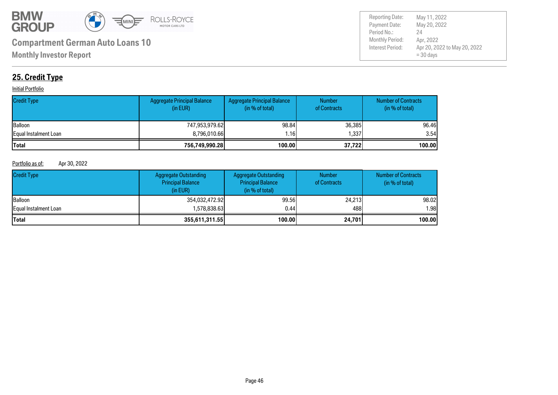

Payment Date: Period No.: Apr 20, 2022 to May 20, 2022  $= 30$  days May 20, 2022 Apr, 2022 24 Reporting Date: May 11, 2022

### **25. Credit Type**

#### **Initial Portfolio**

| <b>Credit Type</b>    | Aggregate Principal Balance<br>(in EUR) | <b>Aggregate Principal Balance</b><br>(in % of total) | <b>Number</b><br>of Contracts | <b>Number of Contracts</b><br>(in % of total) |
|-----------------------|-----------------------------------------|-------------------------------------------------------|-------------------------------|-----------------------------------------------|
| Balloon               | 747,953,979.62                          | 98.84                                                 | 36,385                        | 96.46                                         |
| Equal Instalment Loan | 8,796,010.66                            | .161                                                  | ا337 ا                        | 3.54                                          |
| <b>Total</b>          | 756,749,990.28                          | 100.00                                                | 37.7221                       | 100.00                                        |

#### Portfolio as of: Apr 30, 2022

| <b>Credit Type</b>    | <b>Aggregate Outstanding</b><br><b>Principal Balance</b><br>(in EUR) | Aggregate Outstanding<br><b>Principal Balance</b><br>(in % of total) | <b>Number</b><br>of Contracts | <b>Number of Contracts</b><br>(in $%$ of total) |
|-----------------------|----------------------------------------------------------------------|----------------------------------------------------------------------|-------------------------------|-------------------------------------------------|
| <b>Balloon</b>        | 354,032,472.92                                                       | 99.56                                                                | 24,213                        | 98.02                                           |
| Equal Instalment Loan | 1,578,838.63                                                         | 0.44                                                                 | 488                           | 1.98I                                           |
| <b>Total</b>          | 355,611,311.55                                                       | 100.00                                                               | 24,701                        | 100.00                                          |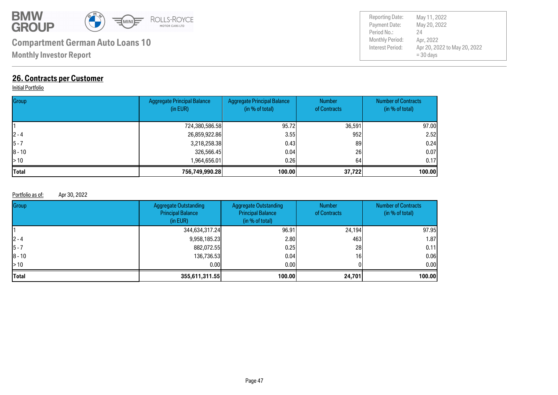

**Monthly Investor Report**

### **26. Contracts per Customer**

#### Initial Portfolio

| Group        | <b>Aggregate Principal Balance</b><br>(in EUR) | <b>Aggregate Principal Balance</b><br>(in % of total) | <b>Number</b><br>of Contracts | <b>Number of Contracts</b><br>(in % of total) |
|--------------|------------------------------------------------|-------------------------------------------------------|-------------------------------|-----------------------------------------------|
|              | 724,380,586.58                                 | 95.72                                                 | 36,591                        | 97.00                                         |
| $ 2 - 4 $    | 26,859,922.86                                  | 3.55                                                  | 952                           | 2.52                                          |
| $5 - 7$      | 3,218,258.38                                   | 0.431                                                 | 89                            | 0.24                                          |
| $ 8 - 10$    | 326,566.45                                     | 0.04                                                  | 26                            | 0.07                                          |
| $\geq 10$    | 1,964,656.01                                   | 0.261                                                 | 64                            | 0.17                                          |
| <b>Total</b> | 756.749.990.28                                 | 100.00                                                | 37,722                        | 100.00                                        |

#### Portfolio as of: Apr 30, 2022

| Group      | <b>Aggregate Outstanding</b><br><b>Principal Balance</b><br>(in EUR) | Aggregate Outstanding<br><b>Principal Balance</b><br>(in % of total) | <b>Number</b><br>of Contracts | <b>Number of Contracts</b><br>(in % of total) |
|------------|----------------------------------------------------------------------|----------------------------------------------------------------------|-------------------------------|-----------------------------------------------|
|            | 344,634,317.24                                                       | 96.91                                                                | 24,194                        | 97.95                                         |
| $12 - 4$   | 9,958,185.23                                                         | 2.80                                                                 | 463                           | 1.87                                          |
| 15 - 7     | 882,072.55                                                           | 0.25                                                                 | 28                            | 0.11                                          |
| $ 8 - 10 $ | 136,736.53                                                           | 0.04                                                                 | 16                            | 0.06                                          |
| > 10       | 0.00                                                                 | 0.001                                                                |                               | 0.00                                          |
| Total      | 355,611,311.55                                                       | 100.00                                                               | 24,701                        | 100.00                                        |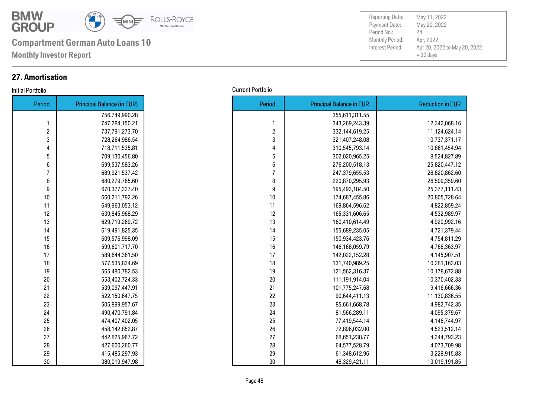

**Monthly Investor Report**

### **27. Amortisation**

| Period         | <b>Principal Balance (in EUR)</b> |
|----------------|-----------------------------------|
|                | 756,749,990.28                    |
| 1              | 747,284,150.21                    |
| $\overline{c}$ | 737,791,273.70                    |
| 3              | 728,264,986.54                    |
| 4              | 718,711,535.81                    |
| 5              | 709,130,456.80                    |
| 6              | 699,537,583.26                    |
| 7              | 689,921,537.42                    |
| 8              | 680,279,765.60                    |
| 9              | 670,377,327.40                    |
| 10             | 660,211,792.26                    |
| 11             | 649,963,053.12                    |
| 12             | 639,845,968.29                    |
| 13             | 629,719,269.72                    |
| 14             | 619,491,825.35                    |
| 15             | 609,576,998.09                    |
| 16             | 599,601,717.70                    |
| 17             | 589,644,361.50                    |
| 18             | 577,535,834.69                    |
| 19             | 565,480,782.53                    |
| 20             | 553,402,724.33                    |
| 21             | 539,097,447.91                    |
| 22             | 522,150,647.75                    |
| 23             | 505,899,957.67                    |
| 24             | 490,470,791.84                    |
| 25             | 474,407,402.05                    |
| 26             | 458,142,852.87                    |
| 27             | 442,825,967.72                    |
| 28             | 427,600,260.77                    |
| 29             | 415,485,297.93                    |
| 30             | 380,019,947.98                    |

| Initial Portfolio | <b>Current Portfolio</b> |
|-------------------|--------------------------|
|-------------------|--------------------------|

| Period         | <b>Principal Balance (in EUR)</b> |
|----------------|-----------------------------------|
|                | 756,749,990.28                    |
| 1              | 747,284,150.21                    |
| $\overline{c}$ | 737,791,273.70                    |
| 3              | 728,264,986.54                    |
| 4              | 718,711,535.81                    |
| 5              | 709,130,456.80                    |
| 6              | 699,537,583.26                    |
| $\overline{7}$ | 689,921,537.42                    |
| 8              | 680,279,765.60                    |
| 9              | 670,377,327.40                    |
| 10             | 660,211,792.26                    |
| 11             | 649,963,053.12                    |
| 12             | 639,845,968.29                    |
| 13             | 629,719,269.72                    |
| 14             | 619,491,825.35                    |
| 15             | 609,576,998.09                    |
| 16             | 599,601,717.70                    |
| 17             | 589,644,361.50                    |
| 18             | 577,535,834.69                    |
| 19             | 565,480,782.53                    |
| 20             | 553,402,724.33                    |
| 21             | 539,097,447.91                    |
| 22             | 522,150,647.75                    |
| 23             | 505,899,957.67                    |
| 24             | 490,470,791.84                    |
| 25             | 474,407,402.05                    |
| 26             | 458,142,852.87                    |
| 27             | 442,825,967.72                    |
| 28             | 427,600,260.77                    |
| 29             | 415,485,297.93                    |
| 30             | 380,019,947.98                    |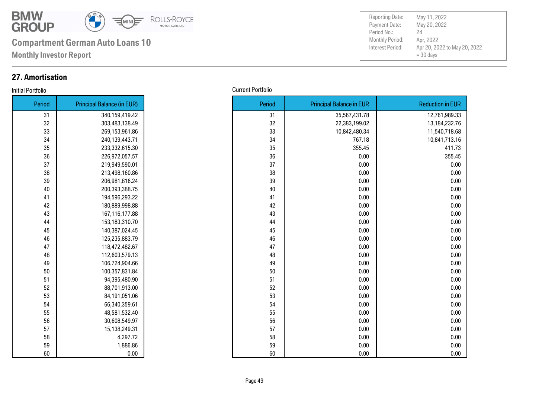

**Monthly Investor Report**

### **27. Amortisation**

### Initial Portfolio Current Portfolio

| Period | <b>Principal Balance (in EUR)</b> |
|--------|-----------------------------------|
| 31     | 340,159,419.42                    |
| 32     | 303,483,138.49                    |
| 33     | 269,153,961.86                    |
| 34     | 240,139,443.71                    |
| 35     | 233,332,615.30                    |
| 36     | 226,972,057.57                    |
| 37     | 219,949,590.01                    |
| 38     | 213,498,160.86                    |
| 39     | 206,981,816.24                    |
| 40     | 200,393,388.75                    |
| 41     | 194,596,293.22                    |
| 42     | 180,889,998.88                    |
| 43     | 167,116,177.88                    |
| 44     | 153,183,310.70                    |
| 45     | 140,387,024.45                    |
| 46     | 125,235,883.79                    |
| 47     | 118,472,482.67                    |
| 48     | 112,603,579.13                    |
| 49     | 106,724,904.66                    |
| 50     | 100,357,831.84                    |
| 51     | 94,395,480.90                     |
| 52     | 88,701,913.00                     |
| 53     | 84,191,051.06                     |
| 54     | 66,340,359.61                     |
| 55     | 48,581,532.40                     |
| 56     | 30,608,549.97                     |
| 57     | 15,138,249.31                     |
| 58     | 4,297.72                          |
| 59     | 1,886.86                          |
| 60     | 0.00                              |

| Period | <b>Principal Balance (in EUR)</b> |
|--------|-----------------------------------|
| 31     | 340,159,419.42                    |
| 32     | 303,483,138.49                    |
| 33     | 269,153,961.86                    |
| 34     | 240,139,443.71                    |
| 35     | 233,332,615.30                    |
| 36     | 226,972,057.57                    |
| 37     | 219,949,590.01                    |
| 38     | 213,498,160.86                    |
| 39     | 206,981,816.24                    |
| 40     | 200,393,388.75                    |
| 41     | 194,596,293.22                    |
| 42     | 180,889,998.88                    |
| 43     | 167,116,177.88                    |
| 44     | 153,183,310.70                    |
| 45     | 140,387,024.45                    |
| 46     | 125,235,883.79                    |
| 47     | 118,472,482.67                    |
| 48     | 112,603,579.13                    |
| 49     | 106,724,904.66                    |
| 50     | 100,357,831.84                    |
| 51     | 94,395,480.90                     |
| 52     | 88,701,913.00                     |
| 53     | 84,191,051.06                     |
| 54     | 66,340,359.61                     |
| 55     | 48,581,532.40                     |
| 56     | 30,608,549.97                     |
| 57     | 15,138,249.31                     |
| 58     | 4,297.72                          |
| 59     | 1,886.86                          |
| 60     | 0.00                              |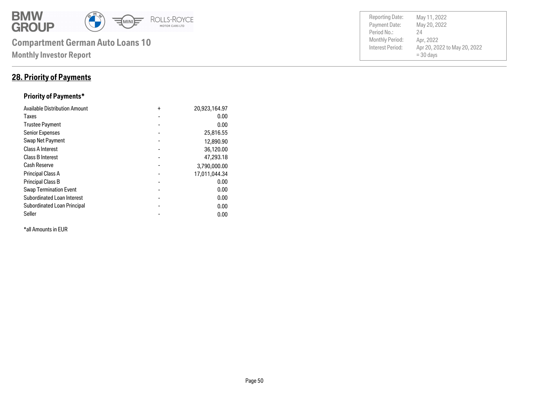

### **28. Priority of Payments**

### **Priority of Payments\***

| <b>Available Distribution Amount</b> | $\ddot{}$ | 20,923,164.97 |
|--------------------------------------|-----------|---------------|
| Taxes                                |           | 0.00          |
| <b>Trustee Payment</b>               |           | 0.00          |
| <b>Senior Expenses</b>               |           | 25,816.55     |
| Swap Net Payment                     |           | 12,890.90     |
| <b>Class A Interest</b>              |           | 36,120.00     |
| Class B Interest                     | -         | 47,293.18     |
| <b>Cash Reserve</b>                  |           | 3,790,000.00  |
| <b>Principal Class A</b>             | -         | 17,011,044.34 |
| <b>Principal Class B</b>             |           | 0.00          |
| <b>Swap Termination Event</b>        |           | 0.00          |
| <b>Subordinated Loan Interest</b>    | -         | 0.00          |
| Subordinated Loan Principal          |           | 0.00          |
| Seller                               |           | 0.00          |

\*all Amounts in EUR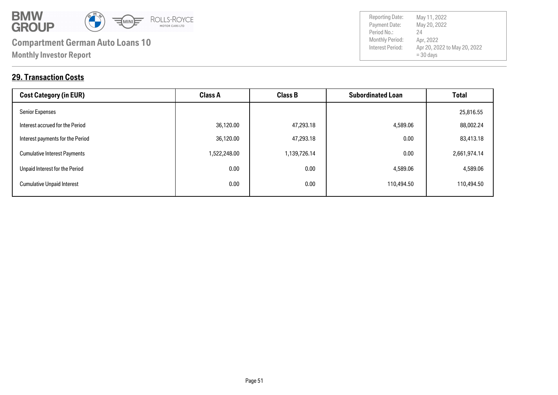

Payment Date: Period No.: Apr 20, 2022 to May 20, 2022  $= 30$  days May 20, 2022 Apr, 2022 24 Reporting Date: May 11, 2022

### **29. Transaction Costs**

| <b>Cost Category (in EUR)</b>       | <b>Class A</b> | <b>Class B</b> | <b>Subordinated Loan</b> | <b>Total</b> |
|-------------------------------------|----------------|----------------|--------------------------|--------------|
| <b>Senior Expenses</b>              |                |                |                          | 25,816.55    |
| Interest accrued for the Period     | 36,120.00      | 47,293.18      | 4,589.06                 | 88,002.24    |
| Interest payments for the Period    | 36,120.00      | 47,293.18      | 0.00                     | 83,413.18    |
| <b>Cumulative Interest Payments</b> | 1,522,248.00   | 1,139,726.14   | 0.00                     | 2,661,974.14 |
| Unpaid Interest for the Period      | 0.00           | 0.00           | 4,589.06                 | 4,589.06     |
| <b>Cumulative Unpaid Interest</b>   | 0.00           | 0.00           | 110,494.50               | 110,494.50   |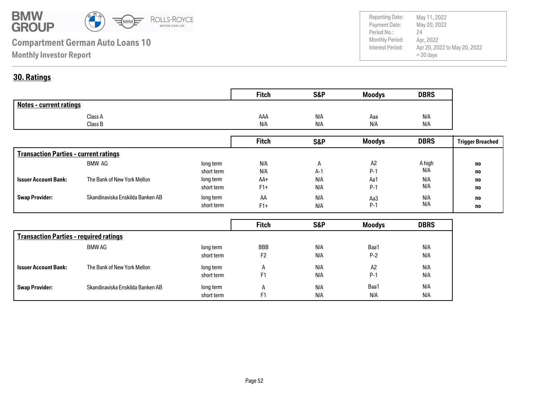

Payment Date: Period No.: Apr 20, 2022 to May 20, 2022  $= 30$  days May 20, 2022 Apr, 2022  $24$ Reporting Date: May 11, 2022

### **30. Ratings**

|                                | <b>Fitch</b> | S&P | <b>Moodys</b> | <b>DBRS</b> |
|--------------------------------|--------------|-----|---------------|-------------|
| <b>Notes - current ratings</b> |              |     |               |             |
| Class A                        | AAA          | N/A | Aaa           | N/A         |
| Class B                        | N/A          | N/A | N/A           | N/A         |

|                                              |                                  |            | <b>Fitch</b> | <b>S&amp;P</b> | <b>Moodys</b> | <b>DBRS</b> | <b>Trigger Breached</b> |
|----------------------------------------------|----------------------------------|------------|--------------|----------------|---------------|-------------|-------------------------|
| <b>Transaction Parties - current ratings</b> |                                  |            |              |                |               |             |                         |
|                                              | BMW AG                           | long term  | N/A          | $\mathsf{H}$   | A2            | A high      | no                      |
|                                              |                                  | short term | N/A          | A-1            | $P-1$         | N/A         | no                      |
| <b>Issuer Account Bank:</b>                  | The Bank of New York Mellon      | long term  | AA+          | N/A            | Aa1           | N/A         | no                      |
|                                              |                                  | short term | $F1+$        | N/A            | $P-1$         | N/A         | no                      |
| <b>Swap Provider:</b>                        | Skandinaviska Enskilda Banken AB | long term  | AA           | N/A            | Aa3           | N/A         | no                      |
|                                              |                                  | short term | $F1+$        | N/A            | $P-1$         | N/A         | no                      |

|                                               |                                  |            | <b>Fitch</b>   | <b>S&amp;P</b> | <b>Moodys</b> | <b>DBRS</b> |
|-----------------------------------------------|----------------------------------|------------|----------------|----------------|---------------|-------------|
| <b>Transaction Parties - required ratings</b> |                                  |            |                |                |               |             |
|                                               | BMW AG                           | long term  | <b>BBB</b>     | N/A            | Baa1          | N/A         |
|                                               |                                  | short term | F <sub>2</sub> | N/A            | $P-2$         | N/A         |
| <b>Issuer Account Bank:</b>                   | The Bank of New York Mellon      | long term  | A              | N/A            | A2            | N/A         |
|                                               |                                  | short term | F <sub>1</sub> | N/A            | $P-1$         | N/A         |
| <b>Swap Provider:</b>                         | Skandinaviska Enskilda Banken AB | long term  | A              | N/A            | Baa1          | N/A         |
|                                               |                                  | short term | F1             | N/A            | N/A           | N/A         |